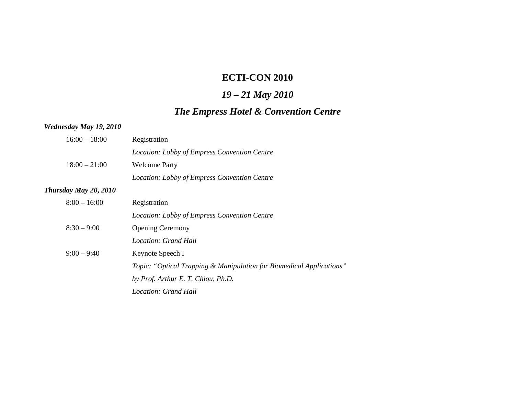# **ECTI-CON 2010**

# *19 – 21 May 2010*

# *The Empress Hotel & Convention Centre*

## *Wednesday May 19***,** *2010*

| $16:00 - 18:00$       | Registration                                                                    |
|-----------------------|---------------------------------------------------------------------------------|
|                       | Location: Lobby of Empress Convention Centre                                    |
| $18:00 - 21:00$       | <b>Welcome Party</b>                                                            |
|                       | Location: Lobby of Empress Convention Centre                                    |
| Thursday May 20, 2010 |                                                                                 |
| $8:00 - 16:00$        | Registration                                                                    |
|                       | Location: Lobby of Empress Convention Centre                                    |
| $8:30 - 9:00$         | <b>Opening Ceremony</b>                                                         |
|                       | Location: Grand Hall                                                            |
| $9:00 - 9:40$         | Keynote Speech I                                                                |
|                       | <i>Topic: "Optical Trapping &amp; Manipulation for Biomedical Applications"</i> |
|                       | by Prof. Arthur E. T. Chiou, Ph.D.                                              |
|                       | Location: Grand Hall                                                            |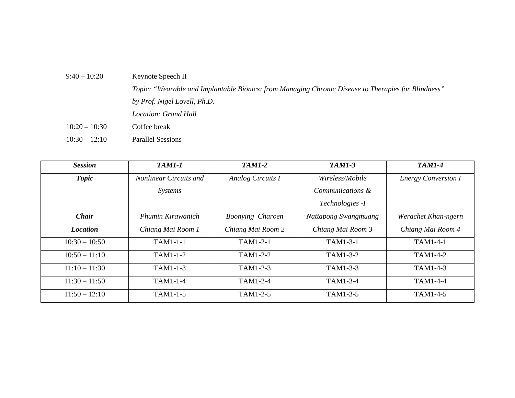| $9:40 - 10:20$<br>Keynote Speech II                                                                 |  |
|-----------------------------------------------------------------------------------------------------|--|
| Topic: "Wearable and Implantable Bionics: from Managing Chronic Disease to Therapies for Blindness" |  |
| by Prof. Nigel Lovell, Ph.D.                                                                        |  |
| <i>Location: Grand Hall</i>                                                                         |  |
| $10:20 - 10:30$<br>Coffee break                                                                     |  |
| $10:30 - 12:10$<br><b>Parallel Sessions</b>                                                         |  |

| <b>Session</b>  | <b>TAM1-1</b>                 | <b>TAM1-2</b>           | <b>TAM1-3</b>        | <b>TAM1-4</b>              |
|-----------------|-------------------------------|-------------------------|----------------------|----------------------------|
| <b>Topic</b>    | <b>Nonlinear Circuits and</b> | Analog Circuits I       | Wireless/Mobile      | <b>Energy Conversion I</b> |
|                 | Systems                       |                         | Communications &     |                            |
|                 |                               |                         | Technologies -I      |                            |
| <b>Chair</b>    | Phumin Kirawanich             | <b>Boonying Charoen</b> | Nattapong Swangmuang | Werachet Khan-ngern        |
| <b>Location</b> | Chiang Mai Room 1             | Chiang Mai Room 2       | Chiang Mai Room 3    | Chiang Mai Room 4          |
| $10:30 - 10:50$ | TAM1-1-1                      | TAM1-2-1                | TAM1-3-1             | TAM1-4-1                   |
| $10:50 - 11:10$ | TAM1-1-2                      | TAM1-2-2                | TAM1-3-2             | TAM1-4-2                   |
| $11:10 - 11:30$ | TAM1-1-3                      | TAM1-2-3                | TAM1-3-3             | TAM1-4-3                   |
| $11:30 - 11:50$ | TAM1-1-4                      | TAM1-2-4                | TAM1-3-4             | TAM1-4-4                   |
| $11:50 - 12:10$ | TAM1-1-5                      | TAM1-2-5                | TAM1-3-5             | TAM1-4-5                   |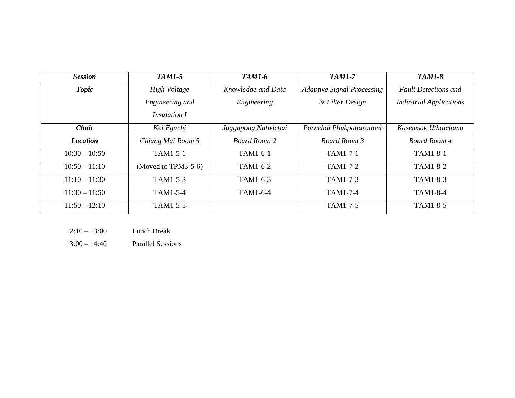| <b>Session</b>  | <b>TAM1-5</b>       | <b>TAM1-6</b>       | <b>TAM1-7</b>                     | <b>TAM1-8</b>                  |
|-----------------|---------------------|---------------------|-----------------------------------|--------------------------------|
| <b>Topic</b>    | High Voltage        | Knowledge and Data  | <b>Adaptive Signal Processing</b> | <b>Fault Detections and</b>    |
|                 | Engineering and     | Engineering         | & Filter Design                   | <b>Industrial Applications</b> |
|                 | <i>Insulation I</i> |                     |                                   |                                |
| <b>Chair</b>    | Kei Eguchi          | Juggapong Natwichai | Pornchai Phukpattaranont          | Kasemsak Uthaichana            |
| <b>Location</b> | Chiang Mai Room 5   | <b>Board Room 2</b> | Board Room 3                      | <b>Board Room 4</b>            |
| $10:30 - 10:50$ | TAM1-5-1            | TAM1-6-1            | TAM1-7-1                          | TAM1-8-1                       |
| $10:50 - 11:10$ | (Moved to TPM3-5-6) | TAM1-6-2            | TAM1-7-2                          | TAM1-8-2                       |
| $11:10 - 11:30$ | TAM1-5-3            | TAM1-6-3            | TAM1-7-3                          | TAM1-8-3                       |
| $11:30 - 11:50$ | TAM1-5-4            | TAM1-6-4            | TAM1-7-4                          | TAM1-8-4                       |
| $11:50 - 12:10$ | TAM1-5-5            |                     | TAM1-7-5                          | TAM1-8-5                       |

 $12:10 - 13:00$ Lunch Break

13:00 – 14:40 Parallel Sessions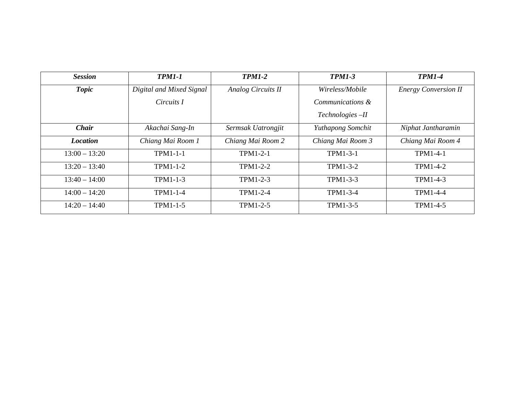| <b>Session</b>  | <b>TPM1-1</b>            | <b>TPM1-2</b>      | <b>TPM1-3</b>     | <b>TPM1-4</b>               |
|-----------------|--------------------------|--------------------|-------------------|-----------------------------|
| <b>Topic</b>    | Digital and Mixed Signal | Analog Circuits II | Wireless/Mobile   | <b>Energy Conversion II</b> |
|                 | Circuits I               |                    | Communications &  |                             |
|                 |                          |                    | Technologies-II   |                             |
| <b>Chair</b>    | Akachai Sang-In          | Sermsak Uatrongjit | Yuthapong Somchit | Niphat Jantharamin          |
| <b>Location</b> | Chiang Mai Room 1        | Chiang Mai Room 2  | Chiang Mai Room 3 | Chiang Mai Room 4           |
| $13:00 - 13:20$ | TPM1-1-1                 | $TPM1-2-1$         | TPM1-3-1          | <b>TPM1-4-1</b>             |
| $13:20 - 13:40$ | $TPM1-1-2$               | TPM1-2-2           | TPM1-3-2          | TPM1-4-2                    |
| $13:40 - 14:00$ | TPM1-1-3                 | TPM1-2-3           | TPM1-3-3          | TPM1-4-3                    |
| $14:00 - 14:20$ | TPM1-1-4                 | <b>TPM1-2-4</b>    | TPM1-3-4          | TPM1-4-4                    |
| $14:20 - 14:40$ | TPM1-1-5                 | TPM1-2-5           | TPM1-3-5          | TPM1-4-5                    |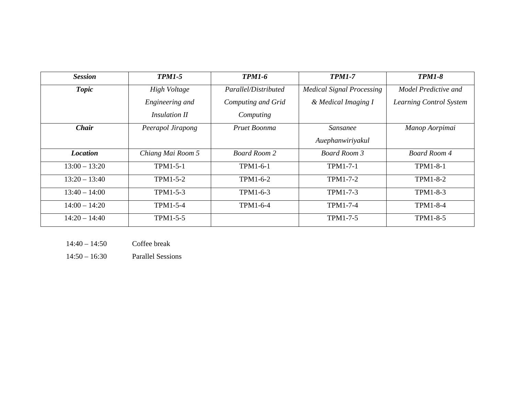| <b>Session</b>  | <b>TPM1-5</b>        | <b>TPM1-6</b>        | <b>TPM1-7</b>                    | <b>TPM1-8</b>           |
|-----------------|----------------------|----------------------|----------------------------------|-------------------------|
| <b>Topic</b>    | High Voltage         | Parallel/Distributed | <b>Medical Signal Processing</b> | Model Predictive and    |
|                 | Engineering and      | Computing and Grid   | & Medical Imaging I              | Learning Control System |
|                 | <b>Insulation II</b> | Computing            |                                  |                         |
| <b>Chair</b>    | Peerapol Jirapong    | Pruet Boonma         | <i>Sansanee</i>                  | Manop Aorpimai          |
|                 |                      |                      | Auephanwiriyakul                 |                         |
| <b>Location</b> | Chiang Mai Room 5    | <b>Board Room 2</b>  | Board Room 3                     | Board Room 4            |
| $13:00 - 13:20$ | TPM1-5-1             | TPM1-6-1             | TPM1-7-1                         | <b>TPM1-8-1</b>         |
| $13:20 - 13:40$ | TPM1-5-2             | TPM1-6-2             | TPM1-7-2                         | <b>TPM1-8-2</b>         |
| $13:40 - 14:00$ | TPM1-5-3             | TPM1-6-3             | TPM1-7-3                         | TPM1-8-3                |
| $14:00 - 14:20$ | TPM1-5-4             | TPM1-6-4             | <b>TPM1-7-4</b>                  | <b>TPM1-8-4</b>         |
| $14:20 - 14:40$ | TPM1-5-5             |                      | TPM1-7-5                         | TPM1-8-5                |

- $14:40 14:50$ Coffee break
- 14:50 16:30 Parallel Sessions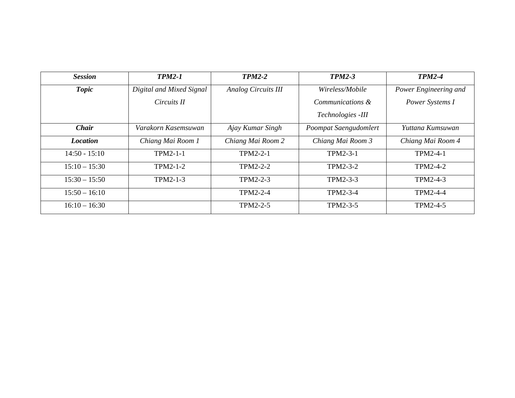| <b>Session</b>  | <b>TPM2-1</b>            | <b>TPM2-2</b>              | <b>TPM2-3</b>         | <b>TPM2-4</b>         |
|-----------------|--------------------------|----------------------------|-----------------------|-----------------------|
| <b>Topic</b>    | Digital and Mixed Signal | <b>Analog Circuits III</b> | Wireless/Mobile       | Power Engineering and |
|                 | Circuits II              |                            | Communications &      | Power Systems I       |
|                 |                          |                            | Technologies -III     |                       |
| <b>Chair</b>    | Varakorn Kasemsuwan      | Ajay Kumar Singh           | Poompat Saengudomlert | Yuttana Kumsuwan      |
| <b>Location</b> | Chiang Mai Room 1        | Chiang Mai Room 2          | Chiang Mai Room 3     | Chiang Mai Room 4     |
| $14:50 - 15:10$ | TPM2-1-1                 | <b>TPM2-2-1</b>            | TPM2-3-1              | TPM2-4-1              |
| $15:10 - 15:30$ | TPM2-1-2                 | TPM2-2-2                   | TPM2-3-2              | TPM2-4-2              |
| $15:30 - 15:50$ | TPM2-1-3                 | TPM2-2-3                   | TPM2-3-3              | TPM2-4-3              |
| $15:50 - 16:10$ |                          | TPM2-2-4                   | TPM2-3-4              | TPM2-4-4              |
| $16:10 - 16:30$ |                          | TPM2-2-5                   | TPM2-3-5              | TPM2-4-5              |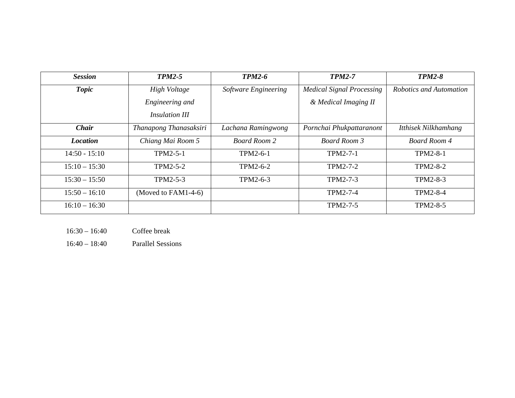| <b>Session</b>  | <b>TPM2-5</b>          | <b>TPM2-6</b>        | <b>TPM2-7</b>                    | <b>TPM2-8</b>           |
|-----------------|------------------------|----------------------|----------------------------------|-------------------------|
| <b>Topic</b>    | High Voltage           | Software Engineering | <b>Medical Signal Processing</b> | Robotics and Automation |
|                 | Engineering and        |                      | & Medical Imaging II             |                         |
|                 | <i>Insulation III</i>  |                      |                                  |                         |
| Chair           | Thanapong Thanasaksiri | Lachana Ramingwong   | Pornchai Phukpattaranont         | Itthisek Nilkhamhang    |
| <b>Location</b> | Chiang Mai Room 5      | <b>Board Room 2</b>  | Board Room 3                     | <b>Board Room 4</b>     |
| $14:50 - 15:10$ | TPM2-5-1               | TPM2-6-1             | TPM2-7-1                         | TPM2-8-1                |
| $15:10 - 15:30$ | TPM2-5-2               | TPM2-6-2             | TPM2-7-2                         | TPM2-8-2                |
| $15:30 - 15:50$ | TPM2-5-3               | TPM2-6-3             | TPM2-7-3                         | TPM2-8-3                |
| $15:50 - 16:10$ | (Moved to $FAM1-4-6$ ) |                      | TPM2-7-4                         | TPM2-8-4                |
| $16:10 - 16:30$ |                        |                      | TPM2-7-5                         | TPM2-8-5                |

 $16:30 - 16:40$ Coffee break

16:40 – 18:40 Parallel Sessions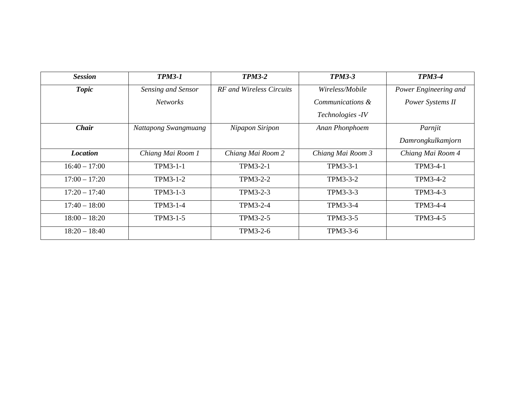| <b>Session</b>  | <b>TPM3-1</b>        | <b>TPM3-2</b>            | <b>TPM3-3</b>     | <b>TPM3-4</b>         |
|-----------------|----------------------|--------------------------|-------------------|-----------------------|
| <b>Topic</b>    | Sensing and Sensor   | RF and Wireless Circuits | Wireless/Mobile   | Power Engineering and |
|                 | <b>Networks</b>      |                          | Communications &  | Power Systems II      |
|                 |                      |                          | Technologies - IV |                       |
| <b>Chair</b>    | Nattapong Swangmuang | Nipapon Siripon          | Anan Phonphoem    | Parnjit               |
|                 |                      |                          |                   | Damrongkulkamjorn     |
| <b>Location</b> | Chiang Mai Room 1    | Chiang Mai Room 2        | Chiang Mai Room 3 | Chiang Mai Room 4     |
| $16:40 - 17:00$ | TPM3-1-1             | TPM3-2-1                 | TPM3-3-1          | TPM3-4-1              |
| $17:00 - 17:20$ | TPM3-1-2             | TPM3-2-2                 | TPM3-3-2          | TPM3-4-2              |
| $17:20 - 17:40$ | TPM3-1-3             | TPM3-2-3                 | TPM3-3-3          | TPM3-4-3              |
| $17:40 - 18:00$ | TPM3-1-4             | TPM3-2-4                 | TPM3-3-4          | TPM3-4-4              |
| $18:00 - 18:20$ | TPM3-1-5             | TPM3-2-5                 | TPM3-3-5          | TPM3-4-5              |
| $18:20 - 18:40$ |                      | TPM3-2-6                 | TPM3-3-6          |                       |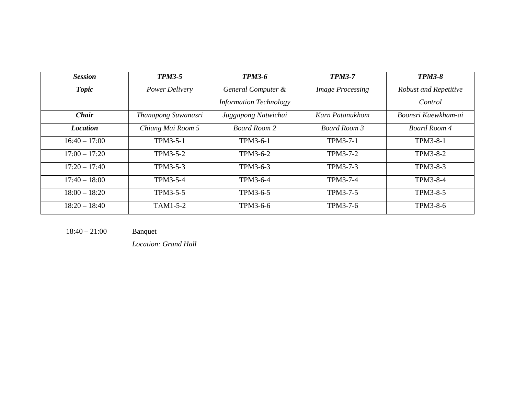| <b>Session</b>  | <b>TPM3-5</b>       | <b>TPM3-6</b>                 | <b>TPM3-7</b>           | <b>TPM3-8</b>                |
|-----------------|---------------------|-------------------------------|-------------------------|------------------------------|
| <b>Topic</b>    | Power Delivery      | General Computer &            | <b>Image Processing</b> | <b>Robust and Repetitive</b> |
|                 |                     | <b>Information Technology</b> |                         | Control                      |
| <b>Chair</b>    | Thanapong Suwanasri | Juggapong Natwichai           | Karn Patanukhom         | Boonsri Kaewkham-ai          |
| <i>Location</i> | Chiang Mai Room 5   | <b>Board Room 2</b>           | Board Room 3            | Board Room 4                 |
| $16:40 - 17:00$ | TPM3-5-1            | TPM3-6-1                      | TPM3-7-1                | TPM3-8-1                     |
| $17:00 - 17:20$ | TPM3-5-2            | TPM3-6-2                      | TPM3-7-2                | TPM3-8-2                     |
| $17:20 - 17:40$ | TPM3-5-3            | TPM3-6-3                      | TPM3-7-3                | TPM3-8-3                     |
| $17:40 - 18:00$ | TPM3-5-4            | TPM3-6-4                      | TPM3-7-4                | TPM3-8-4                     |
| $18:00 - 18:20$ | TPM3-5-5            | TPM3-6-5                      | TPM3-7-5                | TPM3-8-5                     |
| $18:20 - 18:40$ | TAM1-5-2            | TPM3-6-6                      | TPM3-7-6                | TPM3-8-6                     |

18:40 – 21:00 Banquet

*Location: Grand Hall*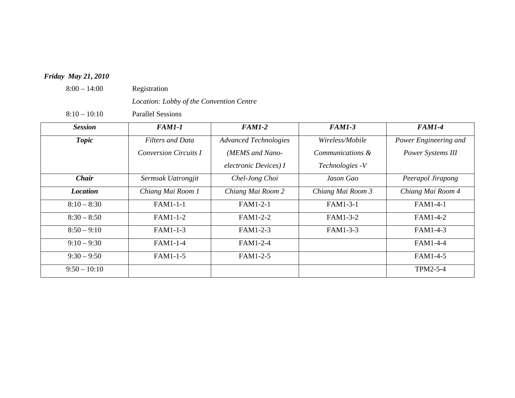## *Friday May 21***,** *2010*

8:00 – 14:00 Registration

*Location: Lobby of the Convention Centre* 

8:10 – 10:10 Parallel Sessions

| <b>Session</b>  | <i>FAM1-1</i>                | <b>FAM1-2</b>                | <b>FAM1-3</b>     | <b>FAM1-4</b>         |
|-----------------|------------------------------|------------------------------|-------------------|-----------------------|
| <b>Topic</b>    | <b>Filters and Data</b>      | <b>Advanced Technologies</b> | Wireless/Mobile   | Power Engineering and |
|                 | <b>Conversion Circuits I</b> | (MEMS and Nano-              | Communications &  | Power Systems III     |
|                 |                              | electronic Devices) I        | Technologies - V  |                       |
| <b>Chair</b>    | Sermsak Uatrongjit           | Chel-Jong Choi               | Jason Gao         | Peerapol Jirapong     |
| <b>Location</b> | Chiang Mai Room 1            | Chiang Mai Room 2            | Chiang Mai Room 3 | Chiang Mai Room 4     |
| $8:10 - 8:30$   | FAM1-1-1                     | <b>FAM1-2-1</b>              | FAM1-3-1          | FAM1-4-1              |
| $8:30 - 8:50$   | FAM1-1-2                     | FAM1-2-2                     | FAM1-3-2          | FAM1-4-2              |
| $8:50 - 9:10$   | FAM1-1-3                     | FAM1-2-3                     | FAM1-3-3          | FAM1-4-3              |
| $9:10 - 9:30$   | FAM1-1-4                     | FAM1-2-4                     |                   | FAM1-4-4              |
| $9:30 - 9:50$   | FAM1-1-5                     | FAM1-2-5                     |                   | FAM1-4-5              |
| $9:50 - 10:10$  |                              |                              |                   | TPM2-5-4              |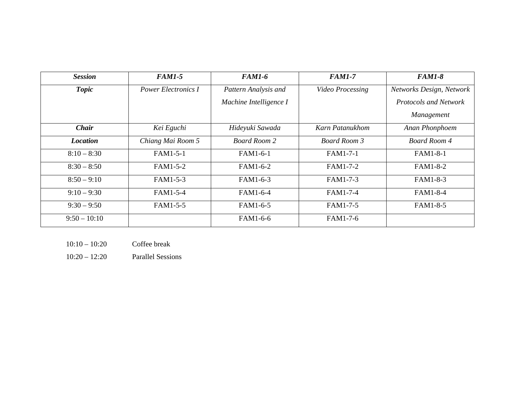| <b>Session</b>  | <b>FAM1-5</b>              | <b>FAM1-6</b>          | <b>FAM1-7</b>           | <b>FAM1-8</b>                |
|-----------------|----------------------------|------------------------|-------------------------|------------------------------|
| <b>Topic</b>    | <b>Power Electronics I</b> | Pattern Analysis and   | <b>Video Processing</b> | Networks Design, Network     |
|                 |                            | Machine Intelligence I |                         | <b>Protocols and Network</b> |
|                 |                            |                        |                         | Management                   |
| <b>Chair</b>    | Kei Eguchi                 | Hideyuki Sawada        | Karn Patanukhom         | Anan Phonphoem               |
| <b>Location</b> | Chiang Mai Room 5          | <b>Board Room 2</b>    | <b>Board Room 3</b>     | Board Room 4                 |
| $8:10 - 8:30$   | FAM1-5-1                   | FAM1-6-1               | FAM1-7-1                | FAM1-8-1                     |
| $8:30 - 8:50$   | FAM1-5-2                   | FAM1-6-2               | FAM1-7-2                | FAM1-8-2                     |
| $8:50 - 9:10$   | FAM1-5-3                   | FAM1-6-3               | FAM1-7-3                | FAM1-8-3                     |
| $9:10 - 9:30$   | FAM1-5-4                   | FAM1-6-4               | FAM1-7-4                | FAM1-8-4                     |
| $9:30 - 9:50$   | FAM1-5-5                   | FAM1-6-5               | FAM1-7-5                | FAM1-8-5                     |
| $9:50 - 10:10$  |                            | FAM1-6-6               | FAM1-7-6                |                              |

| $10:10 - 10:20$ | Coffee break |
|-----------------|--------------|
|-----------------|--------------|

10:20 – 12:20 Parallel Sessions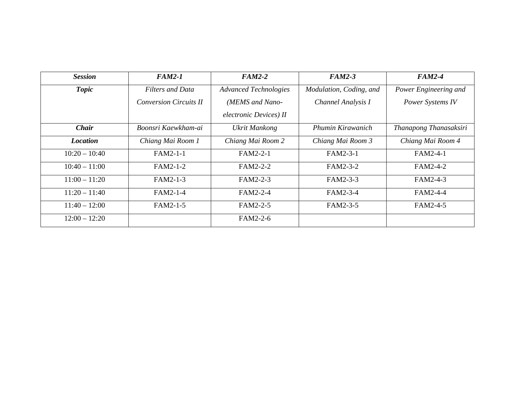| <b>Session</b>  | <b>FAM2-1</b>                 | $FAM2-2$                     | <b>FAM2-3</b>           | <b>FAM2-4</b>          |
|-----------------|-------------------------------|------------------------------|-------------------------|------------------------|
| <b>Topic</b>    | <b>Filters and Data</b>       | <b>Advanced Technologies</b> | Modulation, Coding, and | Power Engineering and  |
|                 | <b>Conversion Circuits II</b> | (MEMS and Nano-              | Channel Analysis I      | Power Systems IV       |
|                 |                               | electronic Devices) II       |                         |                        |
| Chair           | Boonsri Kaewkham-ai           | <b>Ukrit Mankong</b>         | Phumin Kirawanich       | Thanapong Thanasaksiri |
| <i>Location</i> | Chiang Mai Room 1             | Chiang Mai Room 2            | Chiang Mai Room 3       | Chiang Mai Room 4      |
| $10:20 - 10:40$ | $FAM2-1-1$                    | FAM2-2-1                     | FAM2-3-1                | FAM2-4-1               |
| $10:40 - 11:00$ | FAM2-1-2                      | FAM2-2-2                     | FAM2-3-2                | FAM2-4-2               |
| $11:00 - 11:20$ | FAM2-1-3                      | FAM2-2-3                     | FAM2-3-3                | FAM2-4-3               |
| $11:20 - 11:40$ | FAM2-1-4                      | FAM2-2-4                     | FAM2-3-4                | FAM2-4-4               |
| $11:40 - 12:00$ | FAM2-1-5                      | FAM2-2-5                     | FAM2-3-5                | FAM2-4-5               |
| $12:00 - 12:20$ |                               | FAM2-2-6                     |                         |                        |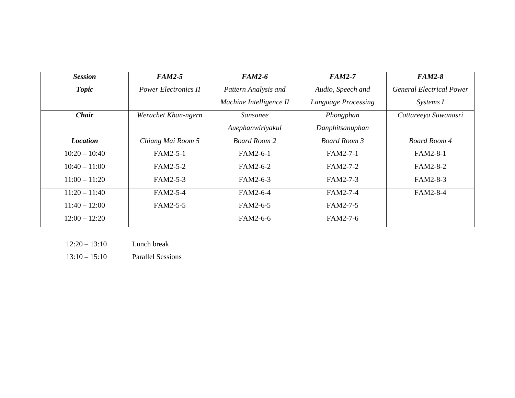| <b>Session</b>  | <b>FAM2-5</b>               | <b>FAM2-6</b>           | <b>FAM2-7</b>       | <b>FAM2-8</b>                   |
|-----------------|-----------------------------|-------------------------|---------------------|---------------------------------|
| <b>Topic</b>    | <b>Power Electronics II</b> | Pattern Analysis and    | Audio, Speech and   | <b>General Electrical Power</b> |
|                 |                             | Machine Intelligence II | Language Processing | Systems I                       |
| Chair           | Werachet Khan-ngern         | Sansanee                | Phongphan           | Cattareeya Suwanasri            |
|                 |                             | Auephanwiriyakul        | Danphitsanuphan     |                                 |
| <b>Location</b> | Chiang Mai Room 5           | <b>Board Room 2</b>     | <b>Board Room 3</b> | Board Room 4                    |
| $10:20 - 10:40$ | FAM2-5-1                    | FAM2-6-1                | FAM2-7-1            | FAM2-8-1                        |
| $10:40 - 11:00$ | FAM2-5-2                    | FAM2-6-2                | FAM2-7-2            | FAM2-8-2                        |
| $11:00 - 11:20$ | FAM2-5-3                    | FAM2-6-3                | FAM2-7-3            | FAM2-8-3                        |
| $11:20 - 11:40$ | FAM2-5-4                    | FAM2-6-4                | FAM2-7-4            | FAM2-8-4                        |
| $11:40 - 12:00$ | FAM2-5-5                    | FAM2-6-5                | FAM2-7-5            |                                 |
| $12:00 - 12:20$ |                             | FAM2-6-6                | FAM2-7-6            |                                 |

| Lunch break |
|-------------|
|             |

13:10 – 15:10 Parallel Sessions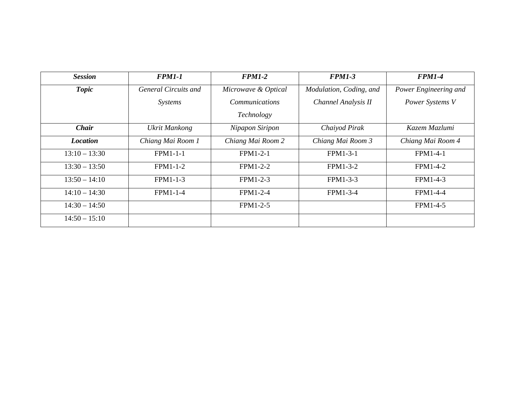| <b>Session</b>  | <b>FPM1-1</b>        | <b>FPM1-2</b>         | <b>FPM1-3</b>           | <b>FPM1-4</b>         |
|-----------------|----------------------|-----------------------|-------------------------|-----------------------|
| <b>Topic</b>    | General Circuits and | Microwave & Optical   | Modulation, Coding, and | Power Engineering and |
|                 | <i>Systems</i>       | <i>Communications</i> | Channel Analysis II     | Power Systems V       |
|                 |                      | Technology            |                         |                       |
| <b>Chair</b>    | <b>Ukrit Mankong</b> | Nipapon Siripon       | Chaiyod Pirak           | Kazem Mazlumi         |
| <i>Location</i> | Chiang Mai Room 1    | Chiang Mai Room 2     | Chiang Mai Room 3       | Chiang Mai Room 4     |
| $13:10 - 13:30$ | $FPM1-1-1$           | $FPM1-2-1$            | FPM1-3-1                | <b>FPM1-4-1</b>       |
| $13:30 - 13:50$ | FPM1-1-2             | $FPM1-2-2$            | FPM1-3-2                | FPM1-4-2              |
| $13:50 - 14:10$ | FPM1-1-3             | FPM1-2-3              | FPM1-3-3                | FPM1-4-3              |
| $14:10 - 14:30$ | FPM1-1-4             | FPM1-2-4              | FPM1-3-4                | FPM1-4-4              |
| $14:30 - 14:50$ |                      | FPM1-2-5              |                         | FPM1-4-5              |
| $14:50 - 15:10$ |                      |                       |                         |                       |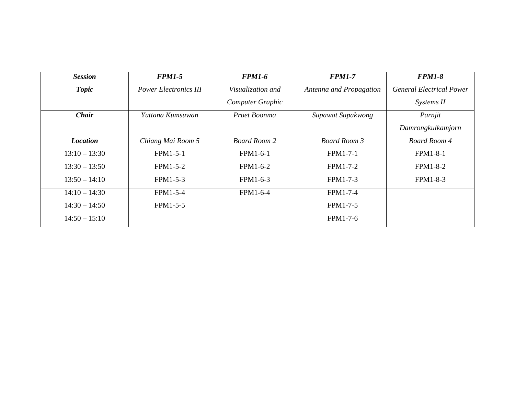| <b>Session</b>  | <b>FPM1-5</b>                | <b>FPM1-6</b>       | <b>FPM1-7</b>           | <b>FPM1-8</b>                   |
|-----------------|------------------------------|---------------------|-------------------------|---------------------------------|
| <b>Topic</b>    | <b>Power Electronics III</b> | Visualization and   | Antenna and Propagation | <b>General Electrical Power</b> |
|                 |                              | Computer Graphic    |                         | Systems II                      |
| <b>Chair</b>    | Yuttana Kumsuwan             | Pruet Boonma        | Supawat Supakwong       | Parnjit                         |
|                 |                              |                     |                         | Damrongkulkamjorn               |
| <i>Location</i> | Chiang Mai Room 5            | <b>Board Room 2</b> | <b>Board Room 3</b>     | Board Room 4                    |
| $13:10 - 13:30$ | FPM1-5-1                     | FPM1-6-1            | FPM1-7-1                | <b>FPM1-8-1</b>                 |
| $13:30 - 13:50$ | FPM1-5-2                     | FPM1-6-2            | FPM1-7-2                | <b>FPM1-8-2</b>                 |
| $13:50 - 14:10$ | FPM1-5-3                     | FPM1-6-3            | FPM1-7-3                | FPM1-8-3                        |
| $14:10 - 14:30$ | FPM1-5-4                     | FPM1-6-4            | FPM1-7-4                |                                 |
| $14:30 - 14:50$ | FPM1-5-5                     |                     | FPM1-7-5                |                                 |
| $14:50 - 15:10$ |                              |                     | FPM1-7-6                |                                 |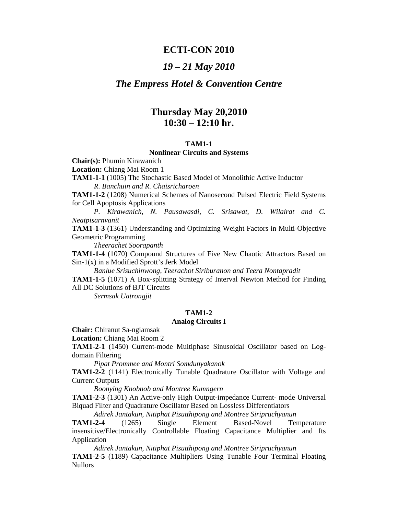## **ECTI-CON 2010**

## *19 – 21 May 2010*

## *The Empress Hotel & Convention Centre*

## **Thursday May 20,2010 10:30 – 12:10 hr.**

### **TAM1-1**

#### **Nonlinear Circuits and Systems**

**Chair(s):** Phumin Kirawanich

**Location:** Chiang Mai Room 1

**TAM1-1-1** (1005) The Stochastic Based Model of Monolithic Active Inductor *R. Banchuin and R. Chaisricharoen* 

**TAM1-1-2** (1208) Numerical Schemes of Nanosecond Pulsed Electric Field Systems for Cell Apoptosis Applications

*P. Kirawanich, N. Pausawasdi, C. Srisawat, D. Wilairat and C. Neatpisarnvanit* 

**TAM1-1-3** (1361) Understanding and Optimizing Weight Factors in Multi-Objective Geometric Programming

*Theerachet Soorapanth* 

**TAM1-1-4** (1070) Compound Structures of Five New Chaotic Attractors Based on Sin-1(x) in a Modified Sprott's Jerk Model

*Banlue Srisuchinwong, Teerachot Siriburanon and Teera Nontapradit*  **TAM1-1-5** (1071) A Box-splitting Strategy of Interval Newton Method for Finding All DC Solutions of BJT Circuits

*Sermsak Uatrongjit*

## **TAM1-2**

## **Analog Circuits I**

**Chair:** Chiranut Sa-ngiamsak

**Location:** Chiang Mai Room 2

**TAM1-2-1** (1450) Current-mode Multiphase Sinusoidal Oscillator based on Logdomain Filtering

*Pipat Prommee and Montri Somdunyakanok* 

**TAM1-2-2** (1141) Electronically Tunable Quadrature Oscillator with Voltage and Current Outputs

 *Boonying Knobnob and Montree Kumngern* 

**TAM1-2-3** (1301) An Active-only High Output-impedance Current- mode Universal Biquad Filter and Quadrature Oscillator Based on Lossless Differentiators

 *Adirek Jantakun, Nitiphat Pisutthipong and Montree Siripruchyanun* 

**TAM1-2-4** (1265) Single Element Based-Novel Temperature insensitive/Electronically Controllable Floating Capacitance Multiplier and Its Application

 *Adirek Jantakun, Nitiphat Pisutthipong and Montree Siripruchyanun*  **TAM1-2-5** (1189) Capacitance Multipliers Using Tunable Four Terminal Floating Nullors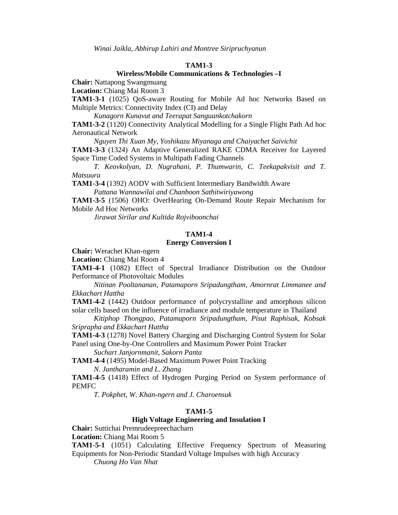*Winai Jaikla, Abhirup Lahiri and Montree Siripruchyanun*

#### **TAM1-3**

#### **Wireless/Mobile Communications & Technologies –I**

**Chair:** Nattapong Swangmuang

**Location:** Chiang Mai Room 3

**TAM1-3-1** (1025) QoS-aware Routing for Mobile Ad hoc Networks Based on Multiple Metrics: Connectivity Index (CI) and Delay

*Kunagorn Kunavut and Teerapat Sanguankotchakorn* 

**TAM1-3-2** (1120) Connectivity Analytical Modelling for a Single Flight Path Ad hoc Aeronautical Network

 *Nguyen Thi Xuan My, Yoshikazu Miyanaga and Chaiyachet Saivichit*  **TAM1-3-3** (1324) An Adaptive Generalized RAKE CDMA Receiver for Layered Space Time Coded Systems in Multipath Fading Channels

 *T. Keovkolyan, D. Nugrahani, P. Thumwarin, C. Teekapakvisit and T. Matsuura* 

**TAM1-3-4** (1392) AODV with Sufficient Intermediary Bandwidth Aware

 *Pattana Wannawilai and Chanboon Sathitwiriyawong* 

**TAM1-3-5** (1506) OHO: OverHearing On-Demand Route Repair Mechanism for Mobile Ad Hoc Networks

 *Jirawat Sirilar and Kultida Rojviboonchai*

#### **TAM1-4**

#### **Energy Conversion I**

**Chair:** Werachet Khan-ngern

**Location:** Chiang Mai Room 4

**TAM1-4-1** (1082) Effect of Spectral Irradiance Distribution on the Outdoor Performance of Photovoltaic Modules

*Nitinan Pooltananan, Patamaporn Sripadungtham, Amornrat Limmanee and Ekkachart Hattha* 

**TAM1-4-2** (1442) Outdoor performance of polycrystalline and amorphous silicon solar cells based on the influence of irradiance and module temperature in Thailand

*Kitiphop Thongpao, Patamaporn Sripadungtham, Pisut Raphisak, Kobsak Sriprapha and Ekkachart Hattha* 

**TAM1-4-3** (1278) Novel Battery Charging and Discharging Control System for Solar Panel using One-by-One Controllers and Maximum Power Point Tracker

*Suchart Janjornmanit, Sakorn Panta* 

**TAM1-4-4** (1495) Model-Based Maximum Power Point Tracking *N. Jantharamin and L. Zhang* 

**TAM1-4-5** (1418) Effect of Hydrogen Purging Period on System performance of PEMFC

*T. Pokphet, W. Khan-ngern and J. Charoensuk*

#### **TAM1-5**

## **High Voltage Engineering and Insulation I**

**Chair:** Suttichai Premrudeepreechacharn

**Location:** Chiang Mai Room 5

**TAM1-5-1** (1051) Calculating Effective Frequency Spectrum of Measuring Equipments for Non-Periodic Standard Voltage Impulses with high Accuracy

*Chuong Ho Van Nhat*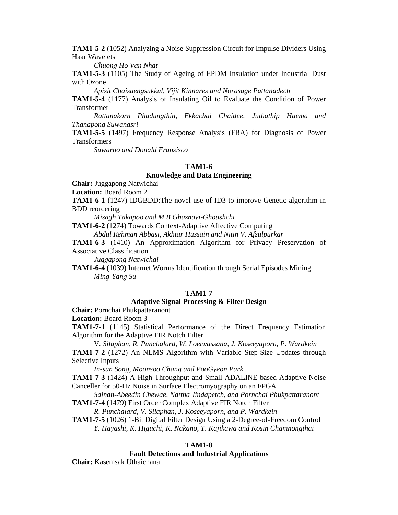**TAM1-5-2** (1052) Analyzing a Noise Suppression Circuit for Impulse Dividers Using Haar Wavelets

 *Chuong Ho Van Nhat* 

**TAM1-5-3** (1105) The Study of Ageing of EPDM Insulation under Industrial Dust with Ozone

 *Apisit Chaisaengsukkul, Vijit Kinnares and Norasage Pattanadech* 

**TAM1-5-4** (1177) Analysis of Insulating Oil to Evaluate the Condition of Power Transformer

 *Rattanakorn Phadungthin, Ekkachai Chaidee, Juthathip Haema and Thanapong Suwanasri* 

**TAM1-5-5** (1497) Frequency Response Analysis (FRA) for Diagnosis of Power Transformers

 *Suwarno and Donald Fransisco* 

#### **TAM1-6**

## **Knowledge and Data Engineering**

**Chair:** Juggapong Natwichai

**Location:** Board Room 2

**TAM1-6-1** (1247) IDGBDD:The novel use of ID3 to improve Genetic algorithm in BDD reordering

*Misagh Takapoo and M.B Ghaznavi-Ghoushchi* 

**TAM1-6-2** (1274) Towards Context-Adaptive Affective Computing

 *Abdul Rehman Abbasi, Akhtar Hussain and Nitin V. Afzulpurkar* 

**TAM1-6-3** (1410) An Approximation Algorithm for Privacy Preservation of Associative Classification

*Juggapong Natwichai* 

**TAM1-6-4** (1039) Internet Worms Identification through Serial Episodes Mining  *Ming-Yang Su*

## **TAM1-7**

## **Adaptive Signal Processing & Filter Design**

**Chair:** Pornchai Phukpattaranont

**Location:** Board Room 3

**TAM1-7-1** (1145) Statistical Performance of the Direct Frequency Estimation Algorithm for the Adaptive FIR Notch Filter

 V*. Silaphan, R. Punchalard, W. Loetwassana, J. Koseeyaporn, P. Wardkein* **TAM1-7-2** (1272) An NLMS Algorithm with Variable Step-Size Updates through Selective Inputs

 *In-sun Song, Moonsoo Chang and PooGyeon Park* 

**TAM1-7-3** (1424) A High-Throughput and Small ADALINE based Adaptive Noise Canceller for 50-Hz Noise in Surface Electromyography on an FPGA

 *Sainan-Abeedin Chewae, Nattha Jindapetch, and Pornchai Phukpattaranont*  **TAM1-7-4** (1479) First Order Complex Adaptive FIR Notch Filter

 *R. Punchalard, V. Silaphan, J. Koseeyaporn, and P. Wardkein* 

**TAM1-7-5** (1026) 1-Bit Digital Filter Design Using a 2-Degree-of-Freedom Control  *Y. Hayashi, K. Higuchi, K. Nakano, T. Kajikawa and Kosin Chamnongthai* 

#### **TAM1-8**

#### **Fault Detections and Industrial Applications**

**Chair:** Kasemsak Uthaichana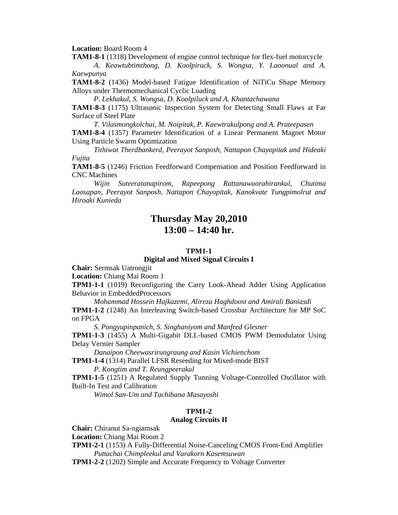**Location:** Board Room 4

**TAM1-8-1** (1318) Development of engine control technique for flex-fuel motorcycle

*A. Keawtubtimthong, D. Koolpiruck, S. Wongsa, Y. Laoonual and A. Kaewpunya* 

**TAM1-8-2** (1436) Model-based Fatigue Identification of NiTiCu Shape Memory Alloys under Thermomechanical Cyclic Loading

*P. Lekhakul, S. Wongsa, D. Koolpiluck and A. Khantachawana* 

**TAM1-8-3** (1175) Ultrasonic Inspection System for Detecting Small Flaws at Far Surface of Steel Plate

*T. Vilasmongkolchai, M. Noipitak, P. Kaewtrakulpong and A. Prateepasen*  **TAM1-8-4** (1357) Parameter Identification of a Linear Permanent Magnet Motor Using Particle Swarm Optimization

*Tithiwat Therdbankerd, Peerayot Sanposh, Nattapon Chayopitak and Hideaki Fujita* 

**TAM1-8-5** (1246) Friction Feedforward Compensation and Position Feedforward in CNC Machines

*Wijin Suteeratanapirom, Rapeepong Rattanawaorahirankul, Chutima Laosapan, Peerayot Sanposh, Nattapon Chayopitak, Kanokvate Tungpimolrut and Hiroaki Kunieda* 

## **Thursday May 20,2010 13:00 – 14:40 hr.**

## **TPM1-1**

#### **Digital and Mixed Signal Circuits I**

**Chair:** Sermsak Uatrongjit

**Location:** Chiang Mai Room 1

**TPM1-1-1** (1019) Reconfiguring the Carry Look-Ahead Adder Using Application Behavior in EmbeddedProcessors

*Mohammad Hossein Hajkazemi, Alireza Haghdoost and Amirali Baniasdi*  **TPM1-1-2** (1248) An Interleaving Switch-based Crossbar Architecture for MP SoC on FPGA

 *S. Pongyupinpanich, S. Singhaniyom and Manfred Glesner* 

**TPM1-1-3** (1455) A Multi-Gigabit DLL-based CMOS PWM Demodulator Using Delay Vernier Sampler

 *Danaipon Cheewasrirungraung and Kasin Vichienchom* 

**TPM1-1-4** (1314) Parallel LFSR Reseeding for Mixed-mode BIST  *P. Kongtim and T. Reungpeerakul* 

**TPM1-1-5** (1251) A Regulated Supply Tunning Voltage-Controlled Oscillator with Built-In Test and Calibration

 *Wimol San-Um and Tachibana Masayoshi* 

## **TPM1-2**

## **Analog Circuits II**

**Chair:** Chiranut Sa-ngiamsak

**Location:** Chiang Mai Room 2

**TPM1-2-1** (1153) A Fully-Differential Noise-Canceling CMOS Front-End Amplifier *Puttachai Chimpleekul and Varakorn Kasemsuwan* 

**TPM1-2-2** (1202) Simple and Accurate Frequency to Voltage Converter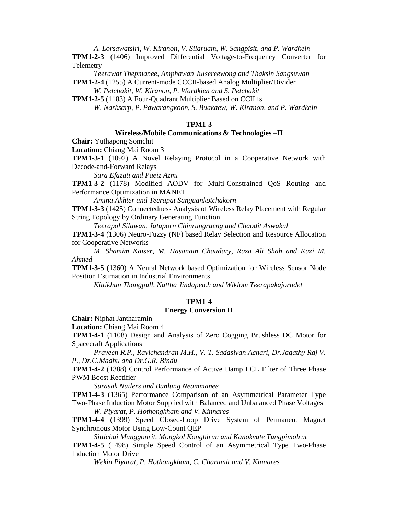*A. Lorsawatsiri, W. Kiranon, V. Silaruam, W. Sangpisit, and P. Wardkein* 

**TPM1-2-3** (1406) Improved Differential Voltage-to-Frequency Converter for **Telemetry** 

 *Teerawat Thepmanee, Amphawan Julsereewong and Thaksin Sangsuwan*  **TPM1-2-4** (1255) A Current-mode CCCII-based Analog Multiplier/Divider

 *W. Petchakit, W. Kiranon, P. Wardkien and S. Petchakit* 

**TPM1-2-5** (1183) A Four-Quadrant Multiplier Based on CCII+s

 *W. Narksarp, P. Pawarangkoon, S. Buakaew, W. Kiranon, and P. Wardkein* 

#### **TPM1-3**

## **Wireless/Mobile Communications & Technologies –II**

**Chair:** Yuthapong Somchit

**Location:** Chiang Mai Room 3

**TPM1-3-1** (1092) A Novel Relaying Protocol in a Cooperative Network with Decode-and-Forward Relays

*Sara Efazati and Paeiz Azmi* 

**TPM1-3-2** (1178) Modified AODV for Multi-Constrained QoS Routing and Performance Optimization in MANET

*Amina Akhter and Teerapat Sanguankotchakorn* 

**TPM1-3-3** (1425) Connectedness Analysis of Wireless Relay Placement with Regular String Topology by Ordinary Generating Function

 *Teerapol Silawan, Jatuporn Chinrungrueng and Chaodit Aswakul* 

**TPM1-3-4** (1306) Neuro-Fuzzy (NF) based Relay Selection and Resource Allocation for Cooperative Networks

 *M. Shamim Kaiser, M. Hasanain Chaudary, Raza Ali Shah and Kazi M. Ahmed* 

**TPM1-3-5** (1360) A Neural Network based Optimization for Wireless Sensor Node Position Estimation in Industrial Environments

 *Kittikhun Thongpull, Nattha Jindapetch and Wiklom Teerapakajorndet* 

#### **TPM1-4**

#### **Energy Conversion II**

**Chair:** Niphat Jantharamin

**Location:** Chiang Mai Room 4

**TPM1-4-1** (1108) Design and Analysis of Zero Cogging Brushless DC Motor for Spacecraft Applications

*Praveen R.P., Ravichandran M.H., V. T. Sadasivan Achari, Dr.Jagathy Raj V. P., Dr.G.Madhu and Dr.G.R. Bindu* 

**TPM1-4-2** (1388) Control Performance of Active Damp LCL Filter of Three Phase PWM Boost Rectifier

*Surasak Nuilers and Bunlung Neammanee* 

**TPM1-4-3** (1365) Performance Comparison of an Asymmetrical Parameter Type Two-Phase Induction Motor Supplied with Balanced and Unbalanced Phase Voltages

 *W. Piyarat, P. Hothongkham and V. Kinnares* 

**TPM1-4-4** (1399) Speed Closed-Loop Drive System of Permanent Magnet Synchronous Motor Using Low-Count QEP

 *Sittichai Munggonrit, Mongkol Konghirun and Kanokvate Tungpimolrut* 

**TPM1-4-5** (1498) Simple Speed Control of an Asymmetrical Type Two-Phase Induction Motor Drive

 *Wekin Piyarat, P. Hothongkham, C. Charumit and V. Kinnares*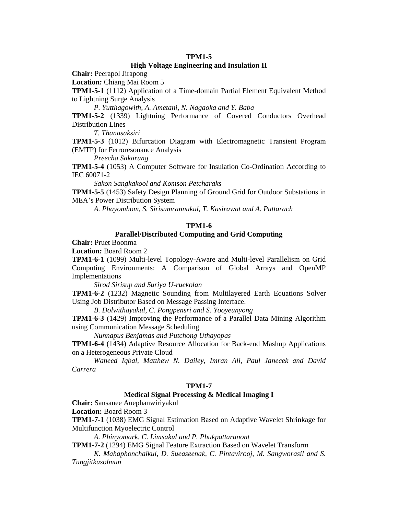## **TPM1-5**

## **High Voltage Engineering and Insulation II**

**Chair:** Peerapol Jirapong

**Location:** Chiang Mai Room 5

**TPM1-5-1** (1112) Application of a Time-domain Partial Element Equivalent Method to Lightning Surge Analysis

*P. Yutthagowith, A. Ametani, N. Nagaoka and Y. Baba* 

**TPM1-5-2** (1339) Lightning Performance of Covered Conductors Overhead Distribution Lines

*T. Thanasaksiri* 

**TPM1-5-3** (1012) Bifurcation Diagram with Electromagnetic Transient Program (EMTP) for Ferroresonance Analysis

 *Preecha Sakarung* 

**TPM1-5-4** (1053) A Computer Software for Insulation Co-Ordination According to IEC 60071-2

 *Sakon Sangkakool and Komson Petcharaks* 

**TPM1-5-5** (1453) Safety Design Planning of Ground Grid for Outdoor Substations in MEA's Power Distribution System

 *A. Phayomhom, S. Sirisumrannukul, T. Kasirawat and A. Puttarach* 

## **TPM1-6**

## **Parallel/Distributed Computing and Grid Computing**

**Chair:** Pruet Boonma

**Location:** Board Room 2

**TPM1-6-1** (1099) Multi-level Topology-Aware and Multi-level Parallelism on Grid Computing Environments: A Comparison of Global Arrays and OpenMP Implementations

*Sirod Sirisup and Suriya U-ruekolan* 

**TPM1-6-2** (1232) Magnetic Sounding from Multilayered Earth Equations Solver Using Job Distributor Based on Message Passing Interface.

*B. Dolwithayakul, C. Pongpensri and S. Yooyeunyong* 

**TPM1-6-3** (1429) Improving the Performance of a Parallel Data Mining Algorithm using Communication Message Scheduling

*Nunnapus Benjamas and Putchong Uthayopas* 

**TPM1-6-4** (1434) Adaptive Resource Allocation for Back-end Mashup Applications on a Heterogeneous Private Cloud

*Waheed Iqbal, Matthew N. Dailey, Imran Ali, Paul Janecek and David Carrera* 

#### **TPM1-7**

## **Medical Signal Processing & Medical Imaging I**

**Chair:** Sansanee Auephanwiriyakul

**Location:** Board Room 3

**TPM1-7-1** (1038) EMG Signal Estimation Based on Adaptive Wavelet Shrinkage for Multifunction Myoelectric Control

*A. Phinyomark, C. Limsakul and P. Phukpattaranont* 

**TPM1-7-2** (1294) EMG Signal Feature Extraction Based on Wavelet Transform

 *K. Mahaphonchaikul, D. Sueaseenak, C. Pintavirooj, M. Sangworasil and S. Tungjitkusolmun*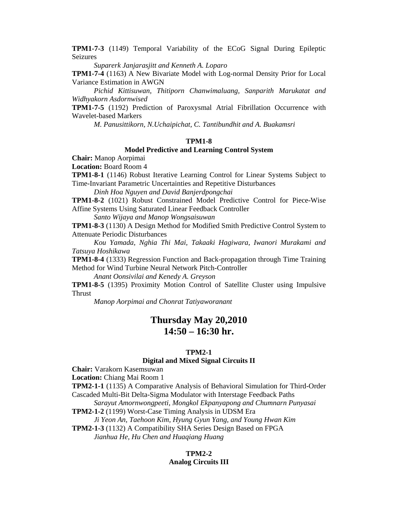**TPM1-7-3** (1149) Temporal Variability of the ECoG Signal During Epileptic Seizures

 *Suparerk Janjarasjitt and Kenneth A. Loparo* 

**TPM1-7-4** (1163) A New Bivariate Model with Log-normal Density Prior for Local Variance Estimation in AWGN

 *Pichid Kittisuwan, Thitiporn Chanwimaluang, Sanparith Marukatat and Widhyakorn Asdornwised* 

**TPM1-7-5** (1192) Prediction of Paroxysmal Atrial Fibrillation Occurrence with Wavelet-based Markers

 *M. Panusittikorn, N.Uchaipichat, C. Tantibundhit and A. Buakamsri* 

#### **TPM1-8**

## **Model Predictive and Learning Control System**

**Chair:** Manop Aorpimai

**Location:** Board Room 4

**TPM1-8-1** (1146) Robust Iterative Learning Control for Linear Systems Subject to Time-Invariant Parametric Uncertainties and Repetitive Disturbances

*Dinh Hoa Nguyen and David Banjerdpongchai* 

**TPM1-8-2** (1021) Robust Constrained Model Predictive Control for Piece-Wise Affine Systems Using Saturated Linear Feedback Controller

 *Santo Wijaya and Manop Wongsaisuwan* 

**TPM1-8-3** (1130) A Design Method for Modified Smith Predictive Control System to Attenuate Periodic Disturbances

 *Kou Yamada, Nghia Thi Mai, Takaaki Hagiwara, Iwanori Murakami and Tatsuya Hoshikawa* 

**TPM1-8-4** (1333) Regression Function and Back-propagation through Time Training Method for Wind Turbine Neural Network Pitch-Controller

 *Anant Oonsivilai and Kenedy A. Greyson* 

**TPM1-8-5** (1395) Proximity Motion Control of Satellite Cluster using Impulsive Thrust

 *Manop Aorpimai and Chonrat Tatiyaworanant* 

## **Thursday May 20,2010 14:50 – 16:30 hr.**

#### **TPM2-1**

#### **Digital and Mixed Signal Circuits II**

**Chair:** Varakorn Kasemsuwan

**Location:** Chiang Mai Room 1

**TPM2-1-1** (1135) A Comparative Analysis of Behavioral Simulation for Third-Order Cascaded Multi-Bit Delta-Sigma Modulator with Interstage Feedback Paths

 *Sarayut Amornwongpeeti, Mongkol Ekpanyapong and Chumnarn Punyasai* 

**TPM2-1-2** (1199) Worst-Case Timing Analysis in UDSM Era

 *Ji Yeon An, Taehoon Kim, Hyung Gyun Yang, and Young Hwan Kim*  **TPM2-1-3** (1132) A Compatibility SHA Series Design Based on FPGA

 *Jianhua He, Hu Chen and Huaqiang Huang* 

## **TPM2-2**

## **Analog Circuits III**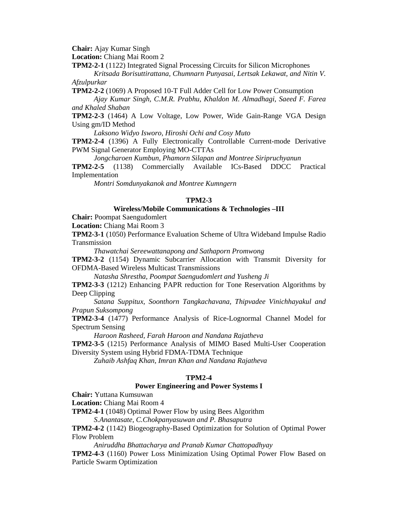**Chair:** Ajay Kumar Singh

**Location:** Chiang Mai Room 2

**TPM2-2-1** (1122) Integrated Signal Processing Circuits for Silicon Microphones

*Kritsada Borisuttirattana, Chumnarn Punyasai, Lertsak Lekawat, and Nitin V. Afzulpurkar* 

**TPM2-2-2** (1069) A Proposed 10-T Full Adder Cell for Low Power Consumption *Ajay Kumar Singh, C.M.R. Prabhu, Khaldon M. Almadhagi, Saeed F. Farea* 

*and Khaled Shaban* 

**TPM2-2-3** (1464) A Low Voltage, Low Power, Wide Gain-Range VGA Design Using gm/ID Method

 *Laksono Widyo Isworo, Hiroshi Ochi and Cosy Muto* 

**TPM2-2-4** (1396) A Fully Electronically Controllable Current-mode Derivative PWM Signal Generator Employing MO-CTTAs

 *Jongcharoen Kumbun, Phamorn Silapan and Montree Siripruchyanun* 

**TPM2-2-5** (1138) Commercially Available ICs-Based DDCC Practical Implementation

 *Montri Somdunyakanok and Montree Kumngern* 

### **TPM2-3**

## **Wireless/Mobile Communications & Technologies –III**

**Chair:** Poompat Saengudomlert

**Location:** Chiang Mai Room 3

**TPM2-3-1** (1050) Performance Evaluation Scheme of Ultra Wideband Impulse Radio Transmission

*Thawatchai Sereewattanapong and Sathaporn Promwong* 

**TPM2-3-2** (1154) Dynamic Subcarrier Allocation with Transmit Diversity for OFDMA-Based Wireless Multicast Transmissions

 *Natasha Shrestha, Poompat Saengudomlert and Yusheng Ji* 

**TPM2-3-3** (1212) Enhancing PAPR reduction for Tone Reservation Algorithms by Deep Clipping

 *Satana Suppitux, Soonthorn Tangkachavana, Thipvadee Vinichhayakul and Prapun Suksompong* 

**TPM2-3-4** (1477) Performance Analysis of Rice-Lognormal Channel Model for Spectrum Sensing

 *Haroon Rasheed, Farah Haroon and Nandana Rajatheva* 

**TPM2-3-5** (1215) Performance Analysis of MIMO Based Multi-User Cooperation Diversity System using Hybrid FDMA-TDMA Technique

 *Zuhaib Ashfaq Khan, Imran Khan and Nandana Rajatheva* 

#### **TPM2-4**

### **Power Engineering and Power Systems I**

**Chair:** Yuttana Kumsuwan

**Location:** Chiang Mai Room 4

**TPM2-4-1** (1048) Optimal Power Flow by using Bees Algorithm

*S.Anantasate, C.Chokpanyasuwan and P. Bhasaputra* 

**TPM2-4-2** (1142) Biogeography-Based Optimization for Solution of Optimal Power Flow Problem

 *Aniruddha Bhattacharya and Pranab Kumar Chattopadhyay* 

**TPM2-4-3** (1160) Power Loss Minimization Using Optimal Power Flow Based on Particle Swarm Optimization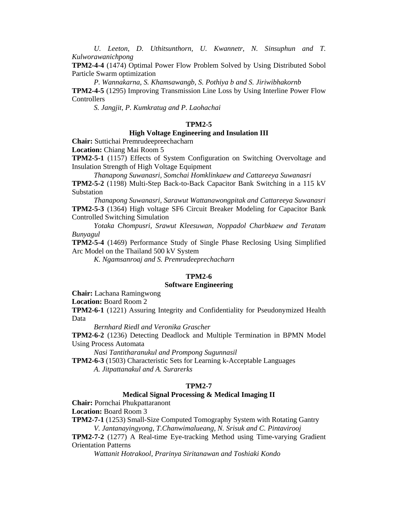*U. Leeton, D. Uthitsunthorn, U. Kwannetr, N. Sinsuphun and T. Kulworawanichpong* 

**TPM2-4-4** (1474) Optimal Power Flow Problem Solved by Using Distributed Sobol Particle Swarm optimization

*P. Wannakarna, S. Khamsawangb, S. Pothiya b and S. Jiriwibhakornb* 

**TPM2-4-5** (1295) Improving Transmission Line Loss by Using Interline Power Flow **Controllers** 

*S. Jangjit, P. Kumkratug and P. Laohachai* 

#### **TPM2-5**

## **High Voltage Engineering and Insulation III**

**Chair:** Suttichai Premrudeepreechacharn

**Location:** Chiang Mai Room 5

**TPM2-5-1** (1157) Effects of System Configuration on Switching Overvoltage and Insulation Strength of High Voltage Equipment

 *Thanapong Suwanasri, Somchai Homklinkaew and Cattareeya Suwanasri* 

**TPM2-5-2** (1198) Multi-Step Back-to-Back Capacitor Bank Switching in a 115 kV Substation

 *Thanapong Suwanasri, Sarawut Wattanawongpitak and Cattareeya Suwanasri*  **TPM2-5-3** (1364) High voltage SF6 Circuit Breaker Modeling for Capacitor Bank Controlled Switching Simulation

 *Yotaka Chompusri, Srawut Kleesuwan, Noppadol Charbkaew and Teratam Bunyagul* 

**TPM2-5-4** (1469) Performance Study of Single Phase Reclosing Using Simplified Arc Model on the Thailand 500 kV System

 *K. Ngamsanroaj and S. Premrudeeprechacharn* 

#### **TPM2-6**

#### **Software Engineering**

**Chair:** Lachana Ramingwong

**Location:** Board Room 2

**TPM2-6-1** (1221) Assuring Integrity and Confidentiality for Pseudonymized Health Data

*Bernhard Riedl and Veronika Grascher* 

**TPM2-6-2** (1236) Detecting Deadlock and Multiple Termination in BPMN Model Using Process Automata

 *Nasi Tantitharanukul and Prompong Sugunnasil* 

**TPM2-6-3** (1503) Characteristic Sets for Learning k-Acceptable Languages  *A. Jitpattanakul and A. Surarerks* 

#### **TPM2-7**

## **Medical Signal Processing & Medical Imaging II**

**Chair:** Pornchai Phukpattaranont

**Location:** Board Room 3

**TPM2-7-1** (1253) Small-Size Computed Tomography System with Rotating Gantry *V. Jantanayingyong, T.Chanwimalueang, N. Srisuk and C. Pintavirooj* 

**TPM2-7-2** (1277) A Real-time Eye-tracking Method using Time-varying Gradient Orientation Patterns

 *Wattanit Hotrakool, Prarinya Siritanawan and Toshiaki Kondo*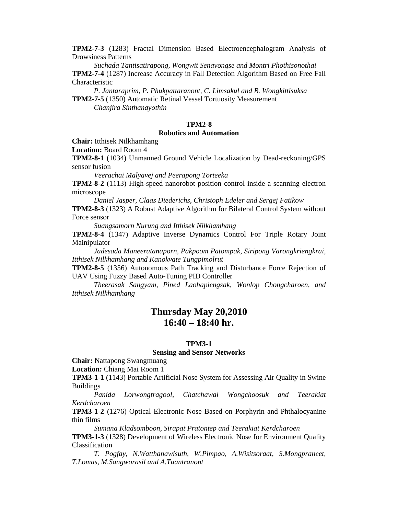**TPM2-7-3** (1283) Fractal Dimension Based Electroencephalogram Analysis of Drowsiness Patterns

 *Suchada Tantisatirapong, Wongwit Senavongse and Montri Phothisonothai*  **TPM2-7-4** (1287) Increase Accuracy in Fall Detection Algorithm Based on Free Fall Characteristic

 *P. Jantaraprim, P. Phukpattaranont, C. Limsakul and B. Wongkittisuksa*  **TPM2-7-5** (1350) Automatic Retinal Vessel Tortuosity Measurement

 *Chanjira Sinthanayothin* 

## **TPM2-8**

## **Robotics and Automation**

**Chair:** Itthisek Nilkhamhang

**Location:** Board Room 4

**TPM2-8-1** (1034) Unmanned Ground Vehicle Localization by Dead-reckoning/GPS sensor fusion

*Veerachai Malyavej and Peerapong Torteeka* 

**TPM2-8-2** (1113) High-speed nanorobot position control inside a scanning electron microscope

 *Daniel Jasper, Claas Diederichs, Christoph Edeler and Sergej Fatikow* 

**TPM2-8-3** (1323) A Robust Adaptive Algorithm for Bilateral Control System without Force sensor

 *Suangsamorn Nurung and Itthisek Nilkhamhang* 

**TPM2-8-4** (1347) Adaptive Inverse Dynamics Control For Triple Rotary Joint Mainipulator

 *Jadesada Maneeratanaporn, Pakpoom Patompak, Siripong Varongkriengkrai, Itthisek Nilkhamhang and Kanokvate Tungpimolrut* 

**TPM2-8-5** (1356) Autonomous Path Tracking and Disturbance Force Rejection of UAV Using Fuzzy Based Auto-Tuning PID Controller

 *Theerasak Sangyam, Pined Laohapiengsak, Wonlop Chongcharoen, and Itthisek Nilkhamhang* 

## **Thursday May 20,2010 16:40 – 18:40 hr.**

## **TPM3-1**

#### **Sensing and Sensor Networks**

**Chair:** Nattapong Swangmuang

**Location:** Chiang Mai Room 1

**TPM3-1-1** (1143) Portable Artificial Nose System for Assessing Air Quality in Swine Buildings

*Panida Lorwongtragool, Chatchawal Wongchoosuk and Teerakiat Kerdcharoen* 

**TPM3-1-2** (1276) Optical Electronic Nose Based on Porphyrin and Phthalocyanine thin films

*Sumana Kladsomboon, Sirapat Pratontep and Teerakiat Kerdcharoen* 

**TPM3-1-3** (1328) Development of Wireless Electronic Nose for Environment Quality Classification

*T. Pogfay, N.Watthanawisuth, W.Pimpao, A.Wisitsoraat, S.Mongpraneet, T.Lomas, M.Sangworasil and A.Tuantranont*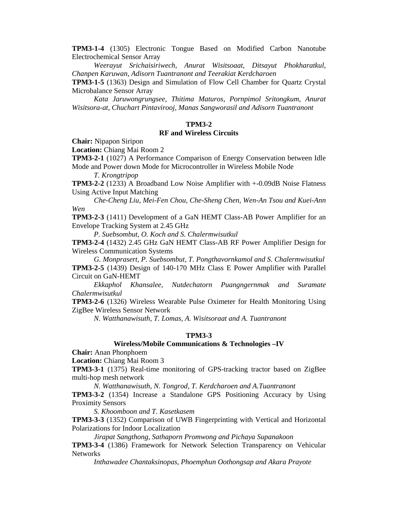**TPM3-1-4** (1305) Electronic Tongue Based on Modified Carbon Nanotube Electrochemical Sensor Array

*Weerayut Srichaisiriwech, Anurat Wisitsoaat, Ditsayut Phokharatkul, Chanpen Karuwan, Adisorn Tuantranont and Teerakiat Kerdcharoen* 

**TPM3-1-5** (1363) Design and Simulation of Flow Cell Chamber for Quartz Crystal Microbalance Sensor Array

*Kata Jaruwongrungsee, Thitima Maturos, Pornpimol Sritongkum, Anurat Wisitsora-at, Chuchart Pintavirooj, Manas Sangworasil and Adisorn Tuantranont* 

#### **TPM3-2**

## **RF and Wireless Circuits**

**Chair:** Nipapon Siripon

**Location:** Chiang Mai Room 2

**TPM3-2-1** (1027) A Performance Comparison of Energy Conservation between Idle Mode and Power down Mode for Microcontroller in Wireless Mobile Node

*T. Krongtripop* 

**TPM3-2-2** (1233) A Broadband Low Noise Amplifier with +-0.09dB Noise Flatness Using Active Input Matching

 *Che-Cheng Liu, Mei-Fen Chou, Che-Sheng Chen, Wen-An Tsou and Kuei-Ann Wen* 

**TPM3-2-3** (1411) Development of a GaN HEMT Class-AB Power Amplifier for an Envelope Tracking System at 2.45 GHz

 *P. Suebsombut, O. Koch and S. Chalermwisutkul* 

**TPM3-2-4** (1432) 2.45 GHz GaN HEMT Class-AB RF Power Amplifier Design for Wireless Communication Systems

 *G. Monprasert, P. Suebsombut, T. Pongthavornkamol and S. Chalermwisutkul*  **TPM3-2-5** (1439) Design of 140-170 MHz Class E Power Amplifier with Parallel Circuit on GaN-HEMT

 *Ekkaphol Khansalee, Nutdechatorn Puangngernmak and Suramate Chalermwisutkul* 

**TPM3-2-6** (1326) Wireless Wearable Pulse Oximeter for Health Monitoring Using ZigBee Wireless Sensor Network

 *N. Watthanawisuth, T. Lomas, A. Wisitsoraat and A. Tuantranont* 

#### **TPM3-3**

## **Wireless/Mobile Communications & Technologies –IV**

**Chair:** Anan Phonphoem

**Location:** Chiang Mai Room 3

**TPM3-3-1** (1375) Real-time monitoring of GPS-tracking tractor based on ZigBee multi-hop mesh network

 *N. Watthanawisuth, N. Tongrod, T. Kerdcharoen and A.Tuantranont* 

**TPM3-3-2** (1354) Increase a Standalone GPS Positioning Accuracy by Using Proximity Sensors

 *S. Khoomboon and T. Kasetkasem* 

**TPM3-3-3** (1352) Comparison of UWB Fingerprinting with Vertical and Horizontal Polarizations for Indoor Localization

 *Jirapat Sangthong, Sathaporn Promwong and Pichaya Supanakoon* 

**TPM3-3-4** (1386) Framework for Network Selection Transparency on Vehicular Networks

 *Inthawadee Chantaksinopas, Phoemphun Oothongsap and Akara Prayote*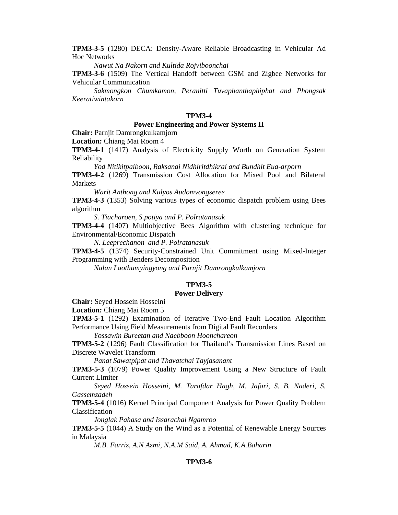**TPM3-3-5** (1280) DECA: Density-Aware Reliable Broadcasting in Vehicular Ad Hoc Networks

 *Nawut Na Nakorn and Kultida Rojviboonchai* 

**TPM3-3-6** (1509) The Vertical Handoff between GSM and Zigbee Networks for Vehicular Communication

 *Sakmongkon Chumkamon, Peranitti Tuvaphanthaphiphat and Phongsak Keeratiwintakorn* 

### **TPM3-4**

#### **Power Engineering and Power Systems II**

**Chair:** Parnjit Damrongkulkamjorn

**Location:** Chiang Mai Room 4

**TPM3-4-1** (1417) Analysis of Electricity Supply Worth on Generation System Reliability

*Yod Nitikitpaiboon, Raksanai Nidhiritdhikrai and Bundhit Eua-arporn* 

**TPM3-4-2** (1269) Transmission Cost Allocation for Mixed Pool and Bilateral Markets

 *Warit Anthong and Kulyos Audomvongseree* 

**TPM3-4-3** (1353) Solving various types of economic dispatch problem using Bees algorithm

 *S. Tiacharoen, S.potiya and P. Polratanasuk* 

**TPM3-4-4** (1407) Multiobjective Bees Algorithm with clustering technique for Environmental/Economic Dispatch

 *N. Leeprechanon and P. Polratanasuk* 

**TPM3-4-5** (1374) Security-Constrained Unit Commitment using Mixed-Integer Programming with Benders Decomposition

 *Nalan Laothumyingyong and Parnjit Damrongkulkamjorn* 

#### **TPM3-5**

#### **Power Delivery**

**Chair:** Seyed Hossein Hosseini

**Location:** Chiang Mai Room 5

**TPM3-5-1** (1292) Examination of Iterative Two-End Fault Location Algorithm Performance Using Field Measurements from Digital Fault Recorders

*Yossawin Bureetan and Naebboon Hoonchareon* 

**TPM3-5-2** (1296) Fault Classification for Thailand's Transmission Lines Based on Discrete Wavelet Transform

 *Panat Sawatpipat and Thavatchai Tayjasanant* 

**TPM3-5-3** (1079) Power Quality Improvement Using a New Structure of Fault Current Limiter

 *Seyed Hossein Hosseini, M. Tarafdar Hagh, M. Jafari, S. B. Naderi, S. Gassemzadeh* 

**TPM3-5-4** (1016) Kernel Principal Component Analysis for Power Quality Problem Classification

 *Jonglak Pahasa and Issarachai Ngamroo* 

**TPM3-5-5** (1044) A Study on the Wind as a Potential of Renewable Energy Sources in Malaysia

 *M.B. Farriz, A.N Azmi, N.A.M Said, A. Ahmad, K.A.Baharin* 

## **TPM3-6**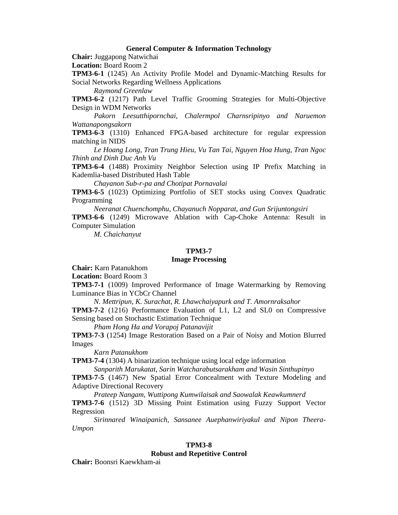#### **General Computer & Information Technology**

**Chair:** Juggapong Natwichai

**Location:** Board Room 2

**TPM3-6-1** (1245) An Activity Profile Model and Dynamic-Matching Results for Social Networks Regarding Wellness Applications

*Raymond Greenlaw* 

**TPM3-6-2** (1217) Path Level Traffic Grooming Strategies for Multi-Objective Design in WDM Networks

 *Pakorn Leesutthipornchai, Chalermpol Charnsripinyo and Naruemon Wattanapongsakorn* 

**TPM3-6-3** (1310) Enhanced FPGA-based architecture for regular expression matching in NIDS

 *Le Hoang Long, Tran Trung Hieu, Vu Tan Tai, Nguyen Hoa Hung, Tran Ngoc Thinh and Dinh Duc Anh Vu* 

**TPM3-6-4** (1488) Proximity Neighbor Selection using IP Prefix Matching in Kademlia-based Distributed Hash Table

 *Chayanon Sub-r-pa and Chotipat Pornavalai* 

**TPM3-6-5** (1023) Optimizing Portfolio of SET stocks using Convex Quadratic Programming

 *Neeranat Chuenchomphu, Chayanuch Nopparat, and Gun Srijuntongsiri* 

**TPM3-6-6** (1249) Microwave Ablation with Cap-Choke Antenna: Result in Computer Simulation

 *M. Chaichanyut* 

#### **TPM3-7**

### **Image Processing**

**Chair:** Karn Patanukhom

**Location:** Board Room 3

**TPM3-7-1** (1009) Improved Performance of Image Watermarking by Removing Luminance Bias in YCbCr Channel

*N. Mettripun, K. Surachat, R. Lhawchaiyapurk and T. Amornraksahor* 

**TPM3-7-2** (1216) Performance Evaluation of L1, L2 and SL0 on Compressive Sensing based on Stochastic Estimation Technique

 *Pham Hong Ha and Vorapoj Patanavijit* 

**TPM3-7-3** (1254) Image Restoration Based on a Pair of Noisy and Motion Blurred Images

 *Karn Patanukhom* 

**TPM3-7-4** (1304) A binarization technique using local edge information

 *Sanparith Marukatat, Sarin Watcharabutsarakham and Wasin Sinthupinyo* 

**TPM3-7-5** (1467) New Spatial Error Concealment with Texture Modeling and Adaptive Directional Recovery

 *Prateep Nangam, Wuttipong Kumwilaisak and Saowalak Keawkumnerd* 

**TPM3-7-6** (1512) 3D Missing Point Estimation using Fuzzy Support Vector Regression

 *Sirinnared Winaipanich, Sansanee Auephanwiriyakul and Nipon Theera-Umpon* 

#### **TPM3-8**

#### **Robust and Repetitive Control**

**Chair:** Boonsri Kaewkham-ai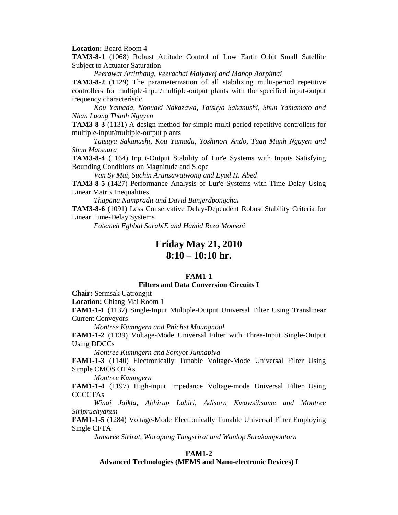**Location:** Board Room 4

**TAM3-8-1** (1068) Robust Attitude Control of Low Earth Orbit Small Satellite Subject to Actuator Saturation

 *Peerawat Artitthang, Veerachai Malyavej and Manop Aorpimai* 

**TAM3-8-2** (1129) The parameterization of all stabilizing multi-period repetitive controllers for multiple-input/multiple-output plants with the specified input-output frequency characteristic

 *Kou Yamada, Nobuaki Nakazawa, Tatsuya Sakanushi, Shun Yamamoto and Nhan Luong Thanh Nguyen* 

**TAM3-8-3** (1131) A design method for simple multi-period repetitive controllers for multiple-input/multiple-output plants

 *Tatsuya Sakanushi, Kou Yamada, Yoshinori Ando, Tuan Manh Nguyen and Shun Matsuura* 

**TAM3-8-4** (1164) Input-Output Stability of Lur'e Systems with Inputs Satisfying Bounding Conditions on Magnitude and Slope

 *Van Sy Mai, Suchin Arunsawatwong and Eyad H. Abed* 

**TAM3-8-5** (1427) Performance Analysis of Lur'e Systems with Time Delay Using Linear Matrix Inequalities

 *Thapana Nampradit and David Banjerdpongchai* 

**TAM3-8-6** (1091) Less Conservative Delay-Dependent Robust Stability Criteria for Linear Time-Delay Systems

 *Fatemeh Eghbal SarabiE and Hamid Reza Momeni* 

## **Friday May 21, 2010 8:10 – 10:10 hr.**

#### **FAM1-1**

#### **Filters and Data Conversion Circuits I**

**Chair:** Sermsak Uatrongjit

**Location:** Chiang Mai Room 1

**FAM1-1-1** (1137) Single-Input Multiple-Output Universal Filter Using Translinear Current Conveyors

*Montree Kumngern and Phichet Moungnoul* 

**FAM1-1-2** (1139) Voltage-Mode Universal Filter with Three-Input Single-Output Using DDCCs

 *Montree Kumngern and Somyot Junnapiya* 

**FAM1-1-3** (1140) Electronically Tunable Voltage-Mode Universal Filter Using Simple CMOS OTAs

 *Montree Kumngern* 

**FAM1-1-4** (1197) High-input Impedance Voltage-mode Universal Filter Using **CCCCTAs** 

 *Winai Jaikla, Abhirup Lahiri, Adisorn Kwawsibsame and Montree Siripruchyanun* 

**FAM1-1-5** (1284) Voltage-Mode Electronically Tunable Universal Filter Employing Single CFTA

 *Jamaree Sirirat, Worapong Tangsrirat and Wanlop Surakampontorn* 

## **FAM1-2**

**Advanced Technologies (MEMS and Nano-electronic Devices) I**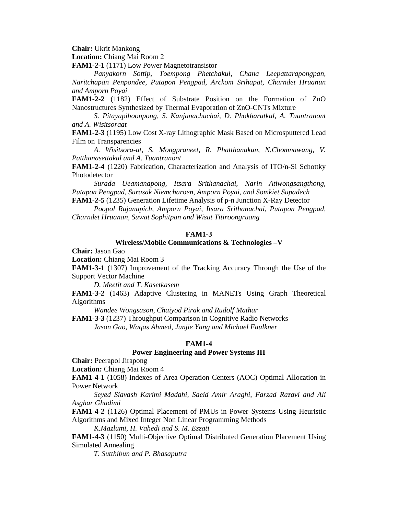**Chair:** Ukrit Mankong

**Location:** Chiang Mai Room 2

**FAM1-2-1** (1171) Low Power Magnetotransistor

*Panyakorn Sottip, Toempong Phetchakul, Chana Leepattarapongpan, Naritchapan Penpondee, Putapon Pengpad, Arckom Srihapat, Charndet Hruanun and Amporn Poyai* 

**FAM1-2-2** (1182) Effect of Substrate Position on the Formation of ZnO Nanostructures Synthesized by Thermal Evaporation of ZnO-CNTs Mixture

*S. Pitayapiboonpong, S. Kanjanachuchai, D. Phokharatkul, A. Tuantranont and A. Wisitsoraat* 

**FAM1-2-3** (1195) Low Cost X-ray Lithographic Mask Based on Microsputtered Lead Film on Transparencies

*A. Wisitsora-at, S. Mongpraneet, R. Phatthanakun, N.Chomnawang, V. Patthanasettakul and A. Tuantranont* 

**FAM1-2-4** (1220) Fabrication, Characterization and Analysis of ITO/n-Si Schottky Photodetector

*Surada Ueamanapong, Itsara Srithanachai, Narin Atiwongsangthong, Putapon Pengpad, Surasak Niemcharoen, Amporn Poyai, and Somkiet Supadech*  **FAM1-2-5** (1235) Generation Lifetime Analysis of p-n Junction X-Ray Detector

*Poopol Rujanapich, Amporn Poyai, Itsara Srithanachai, Putapon Pengpad, Charndet Hruanan, Suwat Sophitpan and Wisut Titiroongruang* 

#### **FAM1-3**

#### **Wireless/Mobile Communications & Technologies –V**

**Chair:** Jason Gao

**Location:** Chiang Mai Room 3

**FAM1-3-1** (1307) Improvement of the Tracking Accuracy Through the Use of the Support Vector Machine

*D. Meetit and T. Kasetkasem* 

**FAM1-3-2** (1463) Adaptive Clustering in MANETs Using Graph Theoretical Algorithms

 *Wandee Wongsason, Chaiyod Pirak and Rudolf Mathar* 

**FAM1-3-3** (1237) Throughput Comparison in Cognitive Radio Networks  *Jason Gao, Waqas Ahmed, Junjie Yang and Michael Faulkner* 

#### **FAM1-4**

## **Power Engineering and Power Systems III**

**Chair:** Peerapol Jirapong

**Location:** Chiang Mai Room 4

**FAM1-4-1** (1058) Indexes of Area Operation Centers (AOC) Optimal Allocation in Power Network

*Seyed Siavash Karimi Madahi, Saeid Amir Araghi, Farzad Razavi and Ali Asghar Ghadimi* 

**FAM1-4-2** (1126) Optimal Placement of PMUs in Power Systems Using Heuristic Algorithms and Mixed Integer Non Linear Programming Methods

*K.Mazlumi, H. Vahedi and S. M. Ezzati* 

**FAM1-4-3** (1150) Multi-Objective Optimal Distributed Generation Placement Using Simulated Annealing

*T. Sutthibun and P. Bhasaputra*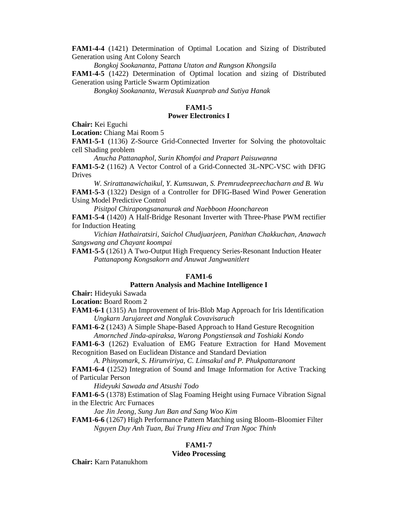**FAM1-4-4** (1421) Determination of Optimal Location and Sizing of Distributed Generation using Ant Colony Search

*Bongkoj Sookananta, Pattana Utaton and Rungson Khongsila* 

**FAM1-4-5** (1422) Determination of Optimal location and sizing of Distributed Generation using Particle Swarm Optimization

*Bongkoj Sookananta, Werasuk Kuanprab and Sutiya Hanak* 

# **FAM1-5**

## **Power Electronics I**

**Chair:** Kei Eguchi

**Location:** Chiang Mai Room 5

**FAM1-5-1** (1136) Z-Source Grid-Connected Inverter for Solving the photovoltaic cell Shading problem

 *Anucha Pattanaphol, Surin Khomfoi and Prapart Paisuwanna* 

**FAM1-5-2** (1162) A Vector Control of a Grid-Connected 3L-NPC-VSC with DFIG Drives

*W. Srirattanawichaikul, Y. Kumsuwan, S. Premrudeepreechacharn and B. Wu*  **FAM1-5-3** (1322) Design of a Controller for DFIG-Based Wind Power Generation Using Model Predictive Control

 *Pisitpol Chirapongsananurak and Naebboon Hoonchareon* 

**FAM1-5-4** (1420) A Half-Bridge Resonant Inverter with Three-Phase PWM rectifier for Induction Heating

 *Vichian Hathairatsiri, Saichol Chudjuarjeen, Panithan Chakkuchan, Anawach Sangswang and Chayant koompai* 

**FAM1-5-5** (1261) A Two-Output High Frequency Series-Resonant Induction Heater  *Pattanapong Kongsakorn and Anuwat Jangwanitlert* 

### **FAM1-6**

## **Pattern Analysis and Machine Intelligence I**

**Chair:** Hideyuki Sawada

**Location:** Board Room 2

**FAM1-6-1** (1315) An Improvement of Iris-Blob Map Approach for Iris Identification *Ungkarn Jarujareet and Nongluk Covavisaruch* 

**FAM1-6-2** (1243) A Simple Shape-Based Approach to Hand Gesture Recognition  *Amornched Jinda-apiraksa, Warong Pongstiensak and Toshiaki Kondo* 

**FAM1-6-3** (1262) Evaluation of EMG Feature Extraction for Hand Movement Recognition Based on Euclidean Distance and Standard Deviation

 *A. Phinyomark, S. Hirunviriya, C. Limsakul and P. Phukpattaranont* 

**FAM1-6-4** (1252) Integration of Sound and Image Information for Active Tracking of Particular Person

 *Hideyuki Sawada and Atsushi Todo* 

**FAM1-6-5** (1378) Estimation of Slag Foaming Height using Furnace Vibration Signal in the Electric Arc Furnaces

 *Jae Jin Jeong, Sung Jun Ban and Sang Woo Kim* 

**FAM1-6-6** (1267) High Performance Pattern Matching using Bloom–Bloomier Filter  *Nguyen Duy Anh Tuan, Bui Trung Hieu and Tran Ngoc Thinh* 

### **FAM1-7**

#### **Video Processing**

**Chair:** Karn Patanukhom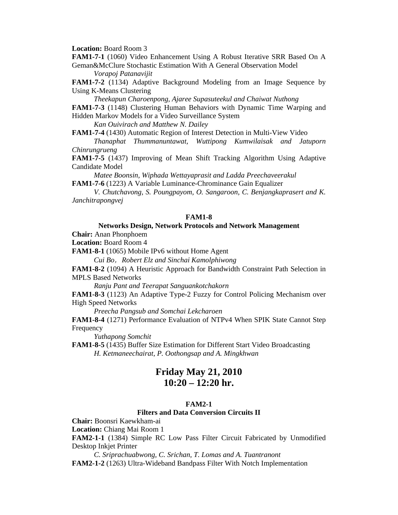**Location:** Board Room 3

**FAM1-7-1** (1060) Video Enhancement Using A Robust Iterative SRR Based On A Geman&McClure Stochastic Estimation With A General Observation Model

*Vorapoj Patanavijit* 

**FAM1-7-2** (1134) Adaptive Background Modeling from an Image Sequence by Using K-Means Clustering

 *Theekapun Charoenpong, Ajaree Supasuteekul and Chaiwat Nuthong*  **FAM1-7-3** (1148) Clustering Human Behaviors with Dynamic Time Warping and Hidden Markov Models for a Video Surveillance System

 *Kan Ouivirach and Matthew N. Dailey* 

**FAM1-7-4** (1430) Automatic Region of Interest Detection in Multi-View Video

 *Thanaphat Thummanuntawat, Wuttipong Kumwilaisak and Jatuporn Chinrungrueng* 

**FAM1-7-5** (1437) Improving of Mean Shift Tracking Algorithm Using Adaptive Candidate Model

 *Matee Boonsin, Wiphada Wettayaprasit and Ladda Preechaveerakul*  **FAM1-7-6** (1223) A Variable Luminance-Chrominance Gain Equalizer

 *V. Chutchavong, S. Poungpayom, O. Sangaroon, C. Benjangkaprasert and K. Janchitrapongvej* 

## **FAM1-8**

#### **Networks Design, Network Protocols and Network Management Chair:** Anan Phonphoem

**Location:** Board Room 4

**FAM1-8-1** (1065) Mobile IPv6 without Home Agent

*Cui Bo*,*Robert Elz and Sinchai Kamolphiwong* 

**FAM1-8-2** (1094) A Heuristic Approach for Bandwidth Constraint Path Selection in MPLS Based Networks

 *Ranju Pant and Teerapat Sanguankotchakorn* 

**FAM1-8-3** (1123) An Adaptive Type-2 Fuzzy for Control Policing Mechanism over High Speed Networks

 *Preecha Pangsub and Somchai Lekcharoen* 

**FAM1-8-4** (1271) Performance Evaluation of NTPv4 When SPIK State Cannot Step Frequency

 *Yuthapong Somchit*

**FAM1-8-5** (1435) Buffer Size Estimation for Different Start Video Broadcasting  *H. Ketmaneechairat, P. Oothongsap and A. Mingkhwan* 

## **Friday May 21, 2010 10:20 – 12:20 hr.**

## **FAM2-1**

## **Filters and Data Conversion Circuits II**

**Chair:** Boonsri Kaewkham-ai

**Location:** Chiang Mai Room 1

**FAM2-1-1** (1384) Simple RC Low Pass Filter Circuit Fabricated by Unmodified Desktop Inkjet Printer

*C. Sriprachuabwong, C. Srichan, T. Lomas and A. Tuantranont*  **FAM2-1-2** (1263) Ultra-Wideband Bandpass Filter With Notch Implementation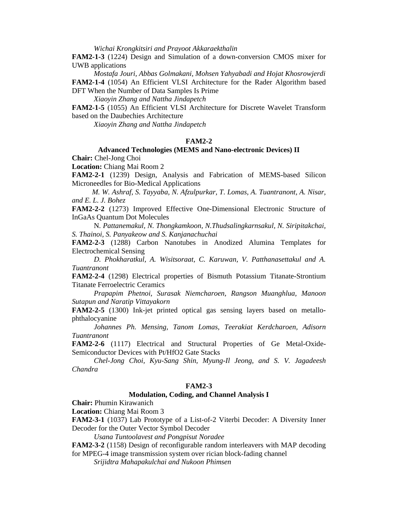*Wichai Krongkitsiri and Prayoot Akkaraekthalin* 

**FAM2-1-3** (1224) Design and Simulation of a down-conversion CMOS mixer for UWB applications

*Mostafa Jouri, Abbas Golmakani, Mohsen Yahyabadi and Hojat Khosrowjerdi*  **FAM2-1-4** (1054) An Efficient VLSI Architecture for the Rader Algorithm based DFT When the Number of Data Samples Is Prime

*Xiaoyin Zhang and Nattha Jindapetch* 

**FAM2-1-5** (1055) An Efficient VLSI Architecture for Discrete Wavelet Transform based on the Daubechies Architecture

*Xiaoyin Zhang and Nattha Jindapetch* 

## **FAM2-2**

## **Advanced Technologies (MEMS and Nano-electronic Devices) II Chair:** Chel-Jong Choi

**Location:** Chiang Mai Room 2

**FAM2-2-1** (1239) Design, Analysis and Fabrication of MEMS-based Silicon Microneedles for Bio-Medical Applications

*M. W. Ashraf, S. Tayyaba, N. Afzulpurkar, T. Lomas, A. Tuantranont, A. Nisar, and E. L. J. Bohez* 

**FAM2-2-2** (1273) Improved Effective One-Dimensional Electronic Structure of InGaAs Quantum Dot Molecules

 N*. Pattanemakul, N. Thongkamkoon, N.Thudsalingkarnsakul, N. Siripitakchai, S. Thainoi, S. Panyakeow and S. Kanjanachuchai*

**FAM2-2-3** (1288) Carbon Nanotubes in Anodized Alumina Templates for Electrochemical Sensing

*D. Phokharatkul, A. Wisitsoraat, C. Karuwan, V. Patthanasettakul and A. Tuantranont* 

**FAM2-2-4** (1298) Electrical properties of Bismuth Potassium Titanate-Strontium Titanate Ferroelectric Ceramics

 *Prapapim Phetnoi, Surasak Niemcharoen, Rangson Muanghlua, Manoon Sutapun and Naratip Vittayakorn* 

**FAM2-2-5** (1300) Ink-jet printed optical gas sensing layers based on metallophthalocyanine

 *Johannes Ph. Mensing, Tanom Lomas, Teerakiat Kerdcharoen, Adisorn Tuantranont* 

**FAM2-2-6** (1117) Electrical and Structural Properties of Ge Metal-Oxide-Semiconductor Devices with Pt/HfO2 Gate Stacks

 *Chel-Jong Choi, Kyu-Sang Shin, Myung-Il Jeong, and S. V. Jagadeesh Chandra* 

#### **FAM2-3**

### **Modulation, Coding, and Channel Analysis I**

**Chair:** Phumin Kirawanich

**Location:** Chiang Mai Room 3

**FAM2-3-1** (1037) Lab Prototype of a List-of-2 Viterbi Decoder: A Diversity Inner Decoder for the Outer Vector Symbol Decoder

 *Usana Tuntoolavest and Pongpisut Noradee* 

**FAM2-3-2** (1158) Design of reconfigurable random interleavers with MAP decoding for MPEG-4 image transmission system over rician block-fading channel

 *Srijidtra Mahapakulchai and Nukoon Phimsen*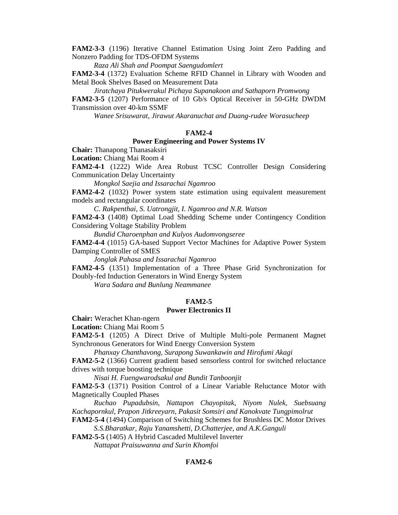**FAM2-3-3** (1196) Iterative Channel Estimation Using Joint Zero Padding and Nonzero Padding for TDS-OFDM Systems

 *Raza Ali Shah and Poompat Saengudomlert* 

**FAM2-3-4** (1372) Evaluation Scheme RFID Channel in Library with Wooden and Metal Book Shelves Based on Measurement Data

*Jiratchaya Pitukwerakul Pichaya Supanakoon and Sathaporn Promwong*  **FAM2-3-5** (1207) Performance of 10 Gb/s Optical Receiver in 50-GHz DWDM Transmission over 40-km SSMF

 *Wanee Srisuwarat, Jirawut Akaranuchat and Duang-rudee Worasucheep* 

### **FAM2-4**

#### **Power Engineering and Power Systems IV**

**Chair:** Thanapong Thanasaksiri

**Location:** Chiang Mai Room 4

**FAM2-4-1** (1222) Wide Area Robust TCSC Controller Design Considering Communication Delay Uncertainty

*Mongkol Saejia and Issarachai Ngamroo* 

**FAM2-4-2** (1032) Power system state estimation using equivalent measurement models and rectangular coordinates

 *C. Rakpenthai, S. Uatrongjit, I. Ngamroo and N.R. Watson* 

**FAM2-4-3** (1408) Optimal Load Shedding Scheme under Contingency Condition Considering Voltage Stability Problem

 *Bundid Charoenphan and Kulyos Audomvongseree* 

**FAM2-4-4** (1015) GA-based Support Vector Machines for Adaptive Power System Damping Controller of SMES

 *Jonglak Pahasa and Issarachai Ngamroo* 

**FAM2-4-5** (1351) Implementation of a Three Phase Grid Synchronization for Doubly-fed Induction Generators in Wind Energy System

 *Wara Sadara and Bunlung Neammanee* 

#### **FAM2-5**

#### **Power Electronics II**

**Chair:** Werachet Khan-ngern

**Location:** Chiang Mai Room 5

**FAM2-5-1** (1205) A Direct Drive of Multiple Multi-pole Permanent Magnet Synchronous Generators for Wind Energy Conversion System

*Phanxay Chanthavong, Surapong Suwankawin and Hirofumi Akagi* 

**FAM2-5-2** (1366) Current gradient based sensorless control for switched reluctance drives with torque boosting technique

 *Nisai H. Fuengwarodsakul and Bundit Tanboonjit* 

**FAM2-5-3** (1371) Position Control of a Linear Variable Reluctance Motor with Magnetically Coupled Phases

 *Ruchao Pupadubsin, Nattapon Chayopitak, Niyom Nulek, Suebsuang Kachapornkul, Prapon Jitkreeyarn, Pakasit Somsiri and Kanokvate Tungpimolrut* 

**FAM2-5-4** (1494) Comparison of Switching Schemes for Brushless DC Motor Drives *S.S.Bharatkar, Raju Yanamshetti, D.Chatterjee, and A.K.Ganguli* 

**FAM2-5-5** (1405) A Hybrid Cascaded Multilevel Inverter

*Nattapat Praisuwanna and Surin Khomfoi*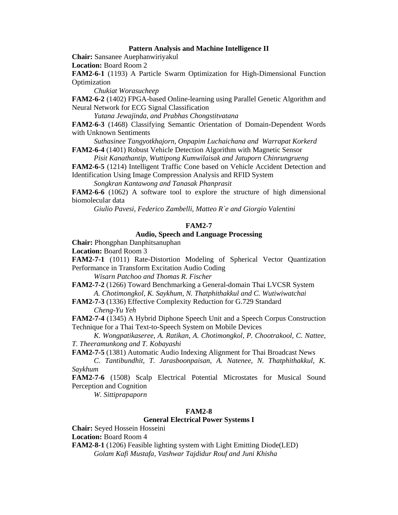#### **Pattern Analysis and Machine Intelligence II**

**Chair:** Sansanee Auephanwiriyakul

**Location:** Board Room 2

**FAM2-6-1** (1193) A Particle Swarm Optimization for High-Dimensional Function Optimization

*Chukiat Worasucheep* 

**FAM2-6-2** (1402) FPGA-based Online-learning using Parallel Genetic Algorithm and Neural Network for ECG Signal Classification

 *Yutana Jewajinda, and Prabhas Chongstitvatana* 

**FAM2-6-3** (1468) Classifying Semantic Orientation of Domain-Dependent Words with Unknown Sentiments

 *Suthasinee Tangyotkhajorn, Onpapim Luchaichana and Warrapat Korkerd*  **FAM2-6-4** (1401) Robust Vehicle Detection Algorithm with Magnetic Sensor

 *Pisit Kanathantip, Wuttipong Kumwilaisak and Jatuporn Chinrungrueng* 

**FAM2-6-5** (1214) Intelligent Traffic Cone based on Vehicle Accident Detection and Identification Using Image Compression Analysis and RFID System

 *Songkran Kantawong and Tanasak Phanprasit* 

**FAM2-6-6** (1062) A software tool to explore the structure of high dimensional biomolecular data

 *Giulio Pavesi, Federico Zambelli, Matteo R`e and Giorgio Valentini* 

## **FAM2-7**

## **Audio, Speech and Language Processing**

**Chair:** Phongphan Danphitsanuphan

**Location:** Board Room 3

**FAM2-7-1** (1011) Rate-Distortion Modeling of Spherical Vector Quantization Performance in Transform Excitation Audio Coding

*Wisarn Patchoo and Thomas R. Fischer* 

**FAM2-7-2** (1266) Toward Benchmarking a General-domain Thai LVCSR System  *A. Chotimongkol, K. Saykhum, N. Thatphithakkul and C. Wutiwiwatchai* 

**FAM2-7-3** (1336) Effective Complexity Reduction for G.729 Standard  *Cheng-Yu Yeh* 

**FAM2-7-4** (1345) A Hybrid Diphone Speech Unit and a Speech Corpus Construction Technique for a Thai Text-to-Speech System on Mobile Devices

 *K. Wongpatikaseree, A. Ratikan, A. Chotimongkol, P. Chootrakool, C. Nattee, T. Theeramunkong and T. Kobayashi* 

**FAM2-7-5** (1381) Automatic Audio Indexing Alignment for Thai Broadcast News

 *C. Tantibundhit, T. Jarasboonpaisan, A. Natenee, N. Thatphithakkul, K. Saykhum* 

**FAM2-7-6** (1508) Scalp Electrical Potential Microstates for Musical Sound Perception and Cognition

 *W. Sittiprapaporn* 

### **FAM2-8**

## **General Electrical Power Systems I**

**Chair:** Seyed Hossein Hosseini

**Location:** Board Room 4

**FAM2-8-1** (1206) Feasible lighting system with Light Emitting Diode(LED) *Golam Kafi Mustafa, Vashwar Tajdidur Rouf and Juni Khisha*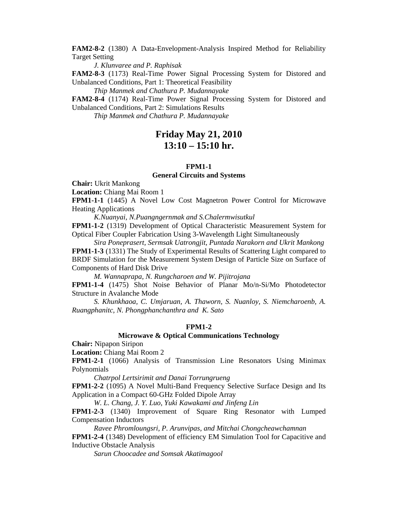**FAM2-8-2** (1380) A Data-Envelopment-Analysis Inspired Method for Reliability Target Setting

 *J. Klunvaree and P. Raphisak* 

**FAM2-8-3** (1173) Real-Time Power Signal Processing System for Distored and Unbalanced Conditions, Part 1: Theoretical Feasibility

 *Thip Manmek and Chathura P. Mudannayake* 

**FAM2-8-4** (1174) Real-Time Power Signal Processing System for Distored and Unbalanced Conditions, Part 2: Simulations Results

 *Thip Manmek and Chathura P. Mudannayake* 

## **Friday May 21, 2010 13:10 – 15:10 hr.**

## **FPM1-1**

## **General Circuits and Systems**

**Chair:** Ukrit Mankong

**Location:** Chiang Mai Room 1

**FPM1-1-1** (1445) A Novel Low Cost Magnetron Power Control for Microwave Heating Applications

 *K.Nuanyai, N.Puangngernmak and S.Chalermwisutkul* 

**FPM1-1-2** (1319) Development of Optical Characteristic Measurement System for Optical Fiber Coupler Fabrication Using 3-Wavelength Light Simultaneously

 *Sira Poneprasert, Sermsak Uatrongjit, Puntada Narakorn and Ukrit Mankong* 

**FPM1-1-3** (1331) The Study of Experimental Results of Scattering Light compared to BRDF Simulation for the Measurement System Design of Particle Size on Surface of Components of Hard Disk Drive

 *M. Wannaprapa, N. Rungcharoen and W. Pijitrojana* 

**FPM1-1-4** (1475) Shot Noise Behavior of Planar Mo/n-Si/Mo Photodetector Structure in Avalanche Mode

*S. Khunkhaoa, C. Umjaruan, A. Thaworn, S. Nuanloy, S. Niemcharoenb, A. Ruangphanitc, N. Phongphanchanthra and K. Sato* 

#### **FPM1-2**

## **Microwave & Optical Communications Technology**

**Chair:** Nipapon Siripon

**Location:** Chiang Mai Room 2

**FPM1-2-1** (1066) Analysis of Transmission Line Resonators Using Minimax Polynomials

*Chatrpol Lertsirimit and Danai Torrungrueng* 

**FPM1-2-2** (1095) A Novel Multi-Band Frequency Selective Surface Design and Its Application in a Compact 60-GHz Folded Dipole Array

 *W. L. Chang, J. Y. Luo, Yuki Kawakami and Jinfeng Lin* 

**FPM1-2-3** (1340) Improvement of Square Ring Resonator with Lumped Compensation Inductors

 *Ravee Phromloungsri, P. Arunvipas, and Mitchai Chongcheawchamnan* 

**FPM1-2-4** (1348) Development of efficiency EM Simulation Tool for Capacitive and Inductive Obstacle Analysis

 *Sarun Choocadee and Somsak Akatimagool*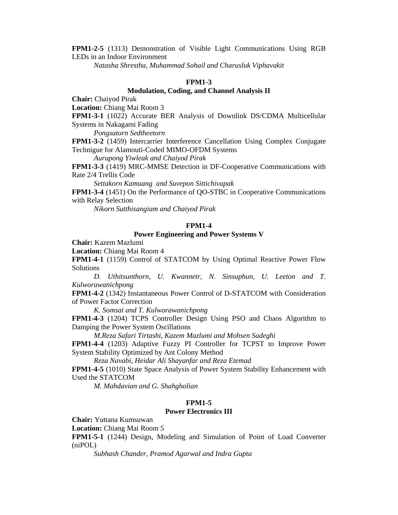**FPM1-2-5** (1313) Demonstration of Visible Light Communications Using RGB LEDs in an Indoor Environment

 *Natasha Shrestha, Muhammad Sohail and Charusluk Viphavakit* 

#### **FPM1-3**

#### **Modulation, Coding, and Channel Analysis II**

**Chair:** Chaiyod Pirak

**Location:** Chiang Mai Room 3

**FPM1-3-1** (1022) Accurate BER Analysis of Downlink DS/CDMA Multicellular Systems in Nakagami Fading

*Pongsatorn Sedtheetorn* 

**FPM1-3-2** (1459) Intercarrier Interference Cancellation Using Complex Conjugate Technigue for Alamouti-Coded MIMO-OFDM Systems

 *Aurupong Yiwleak and Chaiyod Pirak* 

**FPM1-3-3** (1419) MRC-MMSE Detection in DF-Cooperative Communications with Rate 2/4 Trellis Code

 *Settakorn Kamuang and Suvepon Sittichivapak* 

**FPM1-3-4** (1451) On the Performance of QO-STBC in Cooperative Communications with Relay Selection

 *Nikorn Sutthisangiam and Chaiyod Pirak* 

### **FPM1-4**

### **Power Engineering and Power Systems V**

**Chair:** Kazem Mazlumi

**Location:** Chiang Mai Room 4

**FPM1-4-1** (1159) Control of STATCOM by Using Optimal Reactive Power Flow Solutions

*D. Uthitsunthorn, U. Kwannetr, N. Sinsuphun, U. Leeton and T. Kulworawanichpong* 

**FPM1-4-2** (1342) Instantaneous Power Control of D-STATCOM with Consideration of Power Factor Correction

 *K. Somsai and T. Kulworawanichpong* 

**FPM1-4-3** (1204) TCPS Controller Design Using PSO and Chaos Algorithm to Damping the Power System Oscillations

 *M.Reza Safari Tirtashi, Kazem Mazlumi and Mohsen Sadeghi* 

**FPM1-4-4** (1203) Adaptive Fuzzy PI Controller for TCPST to Improve Power System Stability Optimized by Ant Colony Method

 *Reza Navabi, Heidar Ali Shayanfar and Reza Etemad* 

**FPM1-4-5** (1010) State Space Analysis of Power System Stability Enhancement with Used the STATCOM

 *M. Mahdavian and G. Shahgholian* 

#### **FPM1-5**

## **Power Electronics III**

**Chair:** Yuttana Kumsuwan

**Location:** Chiang Mai Room 5

**FPM1-5-1** (1244) Design, Modeling and Simulation of Point of Load Converter (niPOL)

*Subhash Chander, Pramod Agarwal and Indra Gupta*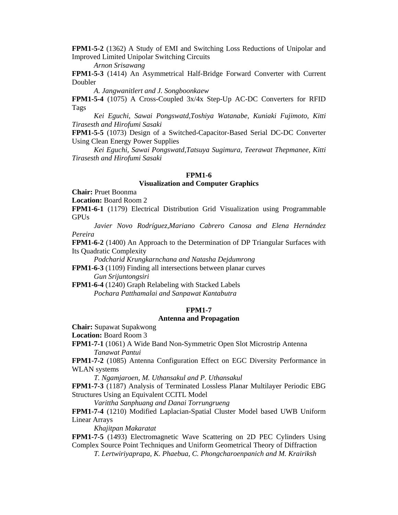**FPM1-5-2** (1362) A Study of EMI and Switching Loss Reductions of Unipolar and Improved Limited Unipolar Switching Circuits

 *Arnon Srisawang* 

**FPM1-5-3** (1414) An Asymmetrical Half-Bridge Forward Converter with Current Doubler

 *A. Jangwanitlert and J. Songboonkaew* 

**FPM1-5-4** (1075) A Cross-Coupled 3x/4x Step-Up AC-DC Converters for RFID Tags

 *Kei Eguchi, Sawai Pongswatd,Toshiya Watanabe, Kuniaki Fujimoto, Kitti Tirasesth and Hirofumi Sasaki* 

**FPM1-5-5** (1073) Design of a Switched-Capacitor-Based Serial DC-DC Converter Using Clean Energy Power Supplies

 *Kei Eguchi, Sawai Pongswatd,Tatsuya Sugimura, Teerawat Thepmanee, Kitti Tirasesth and Hirofumi Sasaki* 

## **FPM1-6**

#### **Visualization and Computer Graphics**

**Chair:** Pruet Boonma

**Location:** Board Room 2

**FPM1-6-1** (1179) Electrical Distribution Grid Visualization using Programmable GPUs

*Javier Novo Rodríguez,Mariano Cabrero Canosa and Elena Hernández Pereira* 

**FPM1-6-2** (1400) An Approach to the Determination of DP Triangular Surfaces with Its Quadratic Complexity

 *Podcharid Krungkarnchana and Natasha Dejdumrong* 

**FPM1-6-3** (1109) Finding all intersections between planar curves  *Gun Srijuntongsiri* 

**FPM1-6-4** (1240) Graph Relabeling with Stacked Labels  *Pochara Patthamalai and Sanpawat Kantabutra* 

#### **FPM1-7**

## **Antenna and Propagation**

**Chair:** Supawat Supakwong

**Location:** Board Room 3

**FPM1-7-1** (1061) A Wide Band Non-Symmetric Open Slot Microstrip Antenna *Tanawat Pantui* 

**FPM1-7-2** (1085) Antenna Configuration Effect on EGC Diversity Performance in WLAN systems

 *T. Ngamjaroen, M. Uthansakul and P. Uthansakul* 

**FPM1-7-3** (1187) Analysis of Terminated Lossless Planar Multilayer Periodic EBG Structures Using an Equivalent CCITL Model

 *Varittha Sanphuang and Danai Torrungrueng* 

**FPM1-7-4** (1210) Modified Laplacian-Spatial Cluster Model based UWB Uniform Linear Arrays

 *Khajitpan Makaratat* 

**FPM1-7-5** (1493) Electromagnetic Wave Scattering on 2D PEC Cylinders Using Complex Source Point Techniques and Uniform Geometrical Theory of Diffraction

 *T. Lertwiriyaprapa, K. Phaebua, C. Phongcharoenpanich and M. Krairiksh*